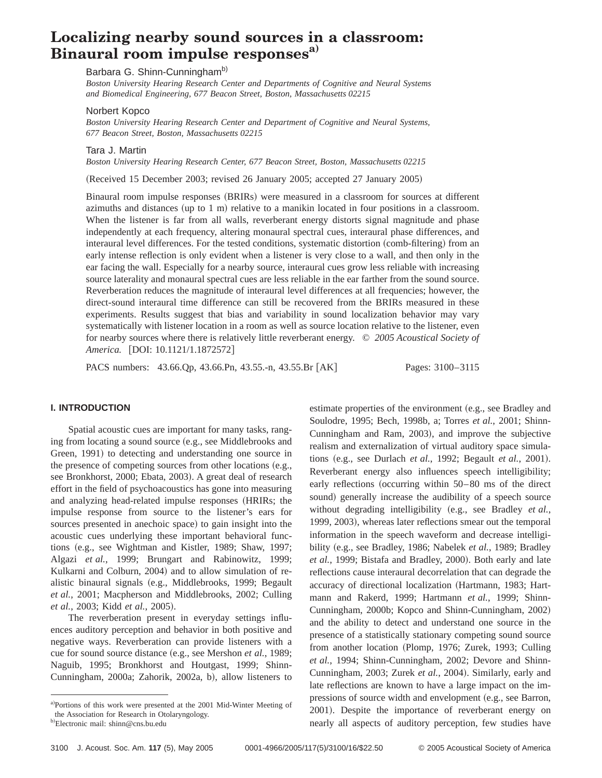# **Localizing nearby sound sources in a classroom: Binaural room impulse responsesa)**

Barbara G. Shinn-Cunningham<sup>b)</sup>

*Boston University Hearing Research Center and Departments of Cognitive and Neural Systems and Biomedical Engineering, 677 Beacon Street, Boston, Massachusetts 02215*

## Norbert Kopco

*Boston University Hearing Research Center and Department of Cognitive and Neural Systems, 677 Beacon Street, Boston, Massachusetts 02215*

Tara J. Martin

*Boston University Hearing Research Center, 677 Beacon Street, Boston, Massachusetts 02215*

(Received 15 December 2003; revised 26 January 2005; accepted 27 January 2005)

Binaural room impulse responses (BRIRs) were measured in a classroom for sources at different azimuths and distances (up to  $1 \text{ m}$ ) relative to a manikin located in four positions in a classroom. When the listener is far from all walls, reverberant energy distorts signal magnitude and phase independently at each frequency, altering monaural spectral cues, interaural phase differences, and interaural level differences. For the tested conditions, systematic distortion (comb-filtering) from an early intense reflection is only evident when a listener is very close to a wall, and then only in the ear facing the wall. Especially for a nearby source, interaural cues grow less reliable with increasing source laterality and monaural spectral cues are less reliable in the ear farther from the sound source. Reverberation reduces the magnitude of interaural level differences at all frequencies; however, the direct-sound interaural time difference can still be recovered from the BRIRs measured in these experiments. Results suggest that bias and variability in sound localization behavior may vary systematically with listener location in a room as well as source location relative to the listener, even for nearby sources where there is relatively little reverberant energy. © *2005 Acoustical Society of America.* [DOI: 10.1121/1.1872572]

PACS numbers: 43.66.Qp, 43.66.Pn, 43.55.-n, 43.55.Br [AK] Pages: 3100–3115

# **I. INTRODUCTION**

Spatial acoustic cues are important for many tasks, ranging from locating a sound source (e.g., see Middlebrooks and Green, 1991) to detecting and understanding one source in the presence of competing sources from other locations (e.g., see Bronkhorst, 2000; Ebata, 2003). A great deal of research effort in the field of psychoacoustics has gone into measuring and analyzing head-related impulse responses (HRIRs; the impulse response from source to the listener's ears for sources presented in anechoic space) to gain insight into the acoustic cues underlying these important behavioral functions (e.g., see Wightman and Kistler, 1989; Shaw, 1997; Algazi *et al.*, 1999; Brungart and Rabinowitz, 1999; Kulkarni and Colburn, 2004) and to allow simulation of realistic binaural signals (e.g., Middlebrooks, 1999; Begault *et al.*, 2001; Macpherson and Middlebrooks, 2002; Culling *et al.*, 2003; Kidd *et al.*, 2005).

The reverberation present in everyday settings influences auditory perception and behavior in both positive and negative ways. Reverberation can provide listeners with a cue for sound source distance (e.g., see Mershon *et al.*, 1989; Naguib, 1995; Bronkhorst and Houtgast, 1999; Shinn-Cunningham, 2000a; Zahorik, 2002a, b), allow listeners to estimate properties of the environment (e.g., see Bradley and Soulodre, 1995; Bech, 1998b, a; Torres *et al.*, 2001; Shinn-Cunningham and Ram, 2003), and improve the subjective realism and externalization of virtual auditory space simulations (e.g., see Durlach *et al.*, 1992; Begault *et al.*, 2001). Reverberant energy also influences speech intelligibility; early reflections (occurring within  $50-80$  ms of the direct sound) generally increase the audibility of a speech source without degrading intelligibility (e.g., see Bradley *et al.*, 1999, 2003), whereas later reflections smear out the temporal information in the speech waveform and decrease intelligibility (e.g., see Bradley, 1986; Nabelek *et al.*, 1989; Bradley et al., 1999; Bistafa and Bradley, 2000). Both early and late reflections cause interaural decorrelation that can degrade the accuracy of directional localization (Hartmann, 1983; Hartmann and Rakerd, 1999; Hartmann *et al.*, 1999; Shinn-Cunningham, 2000b; Kopco and Shinn-Cunningham, 2002) and the ability to detect and understand one source in the presence of a statistically stationary competing sound source from another location (Plomp, 1976; Zurek, 1993; Culling *et al.*, 1994; Shinn-Cunningham, 2002; Devore and Shinn-Cunningham, 2003; Zurek et al., 2004). Similarly, early and late reflections are known to have a large impact on the impressions of source width and envelopment (e.g., see Barron, 2001). Despite the importance of reverberant energy on nearly all aspects of auditory perception, few studies have

a)Portions of this work were presented at the 2001 Mid-Winter Meeting of the Association for Research in Otolaryngology.

b)Electronic mail: shinn@cns.bu.edu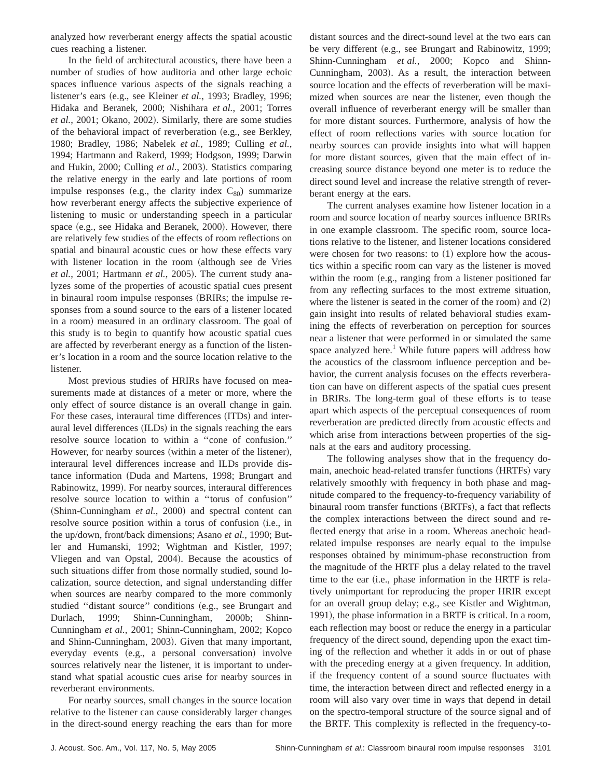analyzed how reverberant energy affects the spatial acoustic cues reaching a listener.

In the field of architectural acoustics, there have been a number of studies of how auditoria and other large echoic spaces influence various aspects of the signals reaching a listener's ears (e.g., see Kleiner *et al.*, 1993; Bradley, 1996; Hidaka and Beranek, 2000; Nishihara *et al.*, 2001; Torres *et al.*, 2001; Okano, 2002). Similarly, there are some studies of the behavioral impact of reverberation (e.g., see Berkley, 1980; Bradley, 1986; Nabelek *et al.*, 1989; Culling *et al.*, 1994; Hartmann and Rakerd, 1999; Hodgson, 1999; Darwin and Hukin, 2000; Culling et al., 2003). Statistics comparing the relative energy in the early and late portions of room impulse responses (e.g., the clarity index  $C_{80}$ ) summarize how reverberant energy affects the subjective experience of listening to music or understanding speech in a particular space (e.g., see Hidaka and Beranek, 2000). However, there are relatively few studies of the effects of room reflections on spatial and binaural acoustic cues or how these effects vary with listener location in the room (although see de Vries *et al.*, 2001; Hartmann *et al.*, 2005). The current study analyzes some of the properties of acoustic spatial cues present in binaural room impulse responses (BRIRs; the impulse responses from a sound source to the ears of a listener located in a room) measured in an ordinary classroom. The goal of this study is to begin to quantify how acoustic spatial cues are affected by reverberant energy as a function of the listener's location in a room and the source location relative to the listener.

Most previous studies of HRIRs have focused on measurements made at distances of a meter or more, where the only effect of source distance is an overall change in gain. For these cases, interaural time differences (ITDs) and interaural level differences (ILDs) in the signals reaching the ears resolve source location to within a ''cone of confusion.'' However, for nearby sources (within a meter of the listener), interaural level differences increase and ILDs provide distance information (Duda and Martens, 1998; Brungart and Rabinowitz, 1999). For nearby sources, interaural differences resolve source location to within a ''torus of confusion'' (Shinn-Cunningham *et al.*, 2000) and spectral content can resolve source position within a torus of confusion (i.e., in the up/down, front/back dimensions; Asano *et al.*, 1990; Butler and Humanski, 1992; Wightman and Kistler, 1997; Vliegen and van Opstal, 2004). Because the acoustics of such situations differ from those normally studied, sound localization, source detection, and signal understanding differ when sources are nearby compared to the more commonly studied "distant source" conditions (e.g., see Brungart and Durlach, 1999; Shinn-Cunningham, 2000b; Shinn-Cunningham *et al.*, 2001; Shinn-Cunningham, 2002; Kopco and Shinn-Cunningham, 2003). Given that many important, everyday events (e.g., a personal conversation) involve sources relatively near the listener, it is important to understand what spatial acoustic cues arise for nearby sources in reverberant environments.

For nearby sources, small changes in the source location relative to the listener can cause considerably larger changes in the direct-sound energy reaching the ears than for more distant sources and the direct-sound level at the two ears can be very different (e.g., see Brungart and Rabinowitz, 1999; Shinn-Cunningham *et al.*, 2000; Kopco and Shinn-Cunningham, 2003). As a result, the interaction between source location and the effects of reverberation will be maximized when sources are near the listener, even though the overall influence of reverberant energy will be smaller than for more distant sources. Furthermore, analysis of how the effect of room reflections varies with source location for nearby sources can provide insights into what will happen for more distant sources, given that the main effect of increasing source distance beyond one meter is to reduce the direct sound level and increase the relative strength of reverberant energy at the ears.

The current analyses examine how listener location in a room and source location of nearby sources influence BRIRs in one example classroom. The specific room, source locations relative to the listener, and listener locations considered were chosen for two reasons: to  $(1)$  explore how the acoustics within a specific room can vary as the listener is moved within the room (e.g., ranging from a listener positioned far from any reflecting surfaces to the most extreme situation, where the listener is seated in the corner of the room) and  $(2)$ gain insight into results of related behavioral studies examining the effects of reverberation on perception for sources near a listener that were performed in or simulated the same space analyzed here.<sup>1</sup> While future papers will address how the acoustics of the classroom influence perception and behavior, the current analysis focuses on the effects reverberation can have on different aspects of the spatial cues present in BRIRs. The long-term goal of these efforts is to tease apart which aspects of the perceptual consequences of room reverberation are predicted directly from acoustic effects and which arise from interactions between properties of the signals at the ears and auditory processing.

The following analyses show that in the frequency domain, anechoic head-related transfer functions (HRTFs) vary relatively smoothly with frequency in both phase and magnitude compared to the frequency-to-frequency variability of binaural room transfer functions (BRTFs), a fact that reflects the complex interactions between the direct sound and reflected energy that arise in a room. Whereas anechoic headrelated impulse responses are nearly equal to the impulse responses obtained by minimum-phase reconstruction from the magnitude of the HRTF plus a delay related to the travel time to the ear (i.e., phase information in the HRTF is relatively unimportant for reproducing the proper HRIR except for an overall group delay; e.g., see Kistler and Wightman, 1991), the phase information in a BRTF is critical. In a room, each reflection may boost or reduce the energy in a particular frequency of the direct sound, depending upon the exact timing of the reflection and whether it adds in or out of phase with the preceding energy at a given frequency. In addition, if the frequency content of a sound source fluctuates with time, the interaction between direct and reflected energy in a room will also vary over time in ways that depend in detail on the spectro-temporal structure of the source signal and of the BRTF. This complexity is reflected in the frequency-to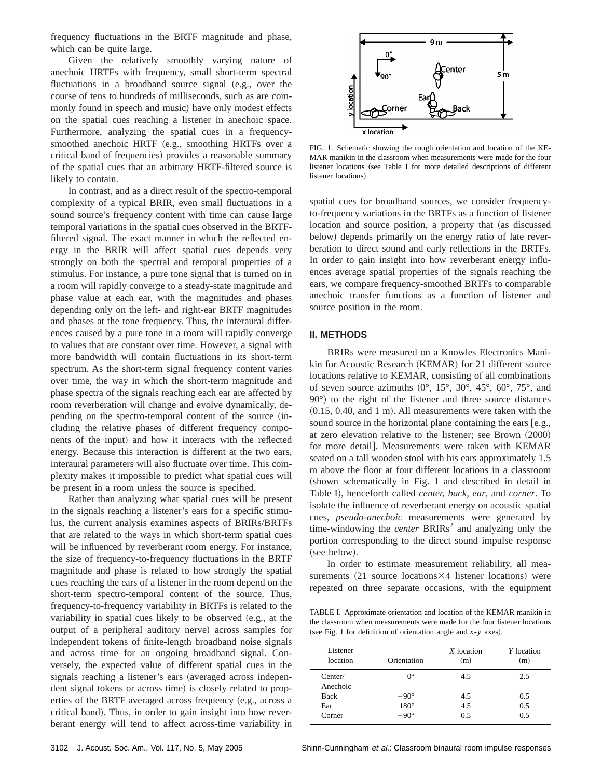frequency fluctuations in the BRTF magnitude and phase, which can be quite large.

Given the relatively smoothly varying nature of anechoic HRTFs with frequency, small short-term spectral fluctuations in a broadband source signal  $(e.g., over the$ course of tens to hundreds of milliseconds, such as are commonly found in speech and music) have only modest effects on the spatial cues reaching a listener in anechoic space. Furthermore, analyzing the spatial cues in a frequencysmoothed anechoic HRTF (e.g., smoothing HRTFs over a critical band of frequencies) provides a reasonable summary of the spatial cues that an arbitrary HRTF-filtered source is likely to contain.

In contrast, and as a direct result of the spectro-temporal complexity of a typical BRIR, even small fluctuations in a sound source's frequency content with time can cause large temporal variations in the spatial cues observed in the BRTFfiltered signal. The exact manner in which the reflected energy in the BRIR will affect spatial cues depends very strongly on both the spectral and temporal properties of a stimulus. For instance, a pure tone signal that is turned on in a room will rapidly converge to a steady-state magnitude and phase value at each ear, with the magnitudes and phases depending only on the left- and right-ear BRTF magnitudes and phases at the tone frequency. Thus, the interaural differences caused by a pure tone in a room will rapidly converge to values that are constant over time. However, a signal with more bandwidth will contain fluctuations in its short-term spectrum. As the short-term signal frequency content varies over time, the way in which the short-term magnitude and phase spectra of the signals reaching each ear are affected by room reverberation will change and evolve dynamically, depending on the spectro-temporal content of the source (including the relative phases of different frequency components of the input) and how it interacts with the reflected energy. Because this interaction is different at the two ears, interaural parameters will also fluctuate over time. This complexity makes it impossible to predict what spatial cues will be present in a room unless the source is specified.

Rather than analyzing what spatial cues will be present in the signals reaching a listener's ears for a specific stimulus, the current analysis examines aspects of BRIRs/BRTFs that are related to the ways in which short-term spatial cues will be influenced by reverberant room energy. For instance, the size of frequency-to-frequency fluctuations in the BRTF magnitude and phase is related to how strongly the spatial cues reaching the ears of a listener in the room depend on the short-term spectro-temporal content of the source. Thus, frequency-to-frequency variability in BRTFs is related to the variability in spatial cues likely to be observed (e.g., at the output of a peripheral auditory nerve) across samples for independent tokens of finite-length broadband noise signals and across time for an ongoing broadband signal. Conversely, the expected value of different spatial cues in the signals reaching a listener's ears (averaged across independent signal tokens or across time) is closely related to properties of the BRTF averaged across frequency  $(e.g., \, across \, a$ critical band). Thus, in order to gain insight into how reverberant energy will tend to affect across-time variability in



FIG. 1. Schematic showing the rough orientation and location of the KE-MAR manikin in the classroom when measurements were made for the four listener locations (see Table I for more detailed descriptions of different listener locations).

spatial cues for broadband sources, we consider frequencyto-frequency variations in the BRTFs as a function of listener location and source position, a property that (as discussed below) depends primarily on the energy ratio of late reverberation to direct sound and early reflections in the BRTFs. In order to gain insight into how reverberant energy influences average spatial properties of the signals reaching the ears, we compare frequency-smoothed BRTFs to comparable anechoic transfer functions as a function of listener and source position in the room.

### **II. METHODS**

BRIRs were measured on a Knowles Electronics Manikin for Acoustic Research (KEMAR) for 21 different source locations relative to KEMAR, consisting of all combinations of seven source azimuths  $(0^{\circ}, 15^{\circ}, 30^{\circ}, 45^{\circ}, 60^{\circ}, 75^{\circ},$  and  $90^\circ$ ) to the right of the listener and three source distances  $(0.15, 0.40,$  and 1 m). All measurements were taken with the sound source in the horizontal plane containing the ears  $[e.g.,]$ at zero elevation relative to the listener; see Brown  $(2000)$ for more detail]. Measurements were taken with KEMAR seated on a tall wooden stool with his ears approximately 1.5 m above the floor at four different locations in a classroom (shown schematically in Fig. 1 and described in detail in Table I), henceforth called *center, back, ear*, and *corner*. To isolate the influence of reverberant energy on acoustic spatial cues, *pseudo-anechoic* measurements were generated by time-windowing the *center* BRIRs<sup>2</sup> and analyzing only the portion corresponding to the direct sound impulse response (see below).

In order to estimate measurement reliability, all measurements  $(21$  source locations $\times$ 4 listener locations) were repeated on three separate occasions, with the equipment

TABLE I. Approximate orientation and location of the KEMAR manikin in the classroom when measurements were made for the four listener locations (see Fig. 1 for definition of orientation angle and  $x$ - $y$  axes).

| Listener<br>location | Orientation | $X$ location<br>(m) | <i>Y</i> location<br>(m) |
|----------------------|-------------|---------------------|--------------------------|
| Center/<br>Anechoic  | $0^{\circ}$ | 4.5                 | 2.5                      |
| <b>Back</b>          | $-90^\circ$ | 4.5                 | 0.5                      |
| Ear                  | $180^\circ$ | 4.5                 | 0.5                      |
| Corner               | $-90^\circ$ | 0.5                 | 0.5                      |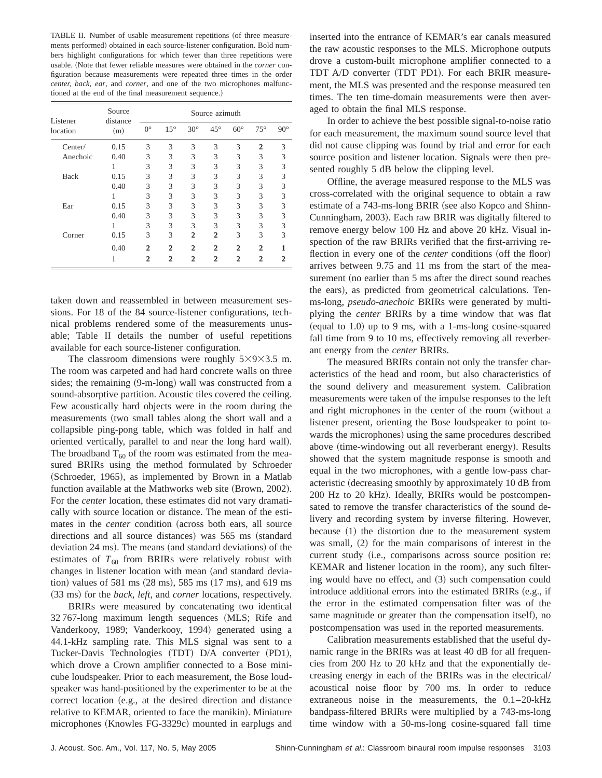TABLE II. Number of usable measurement repetitions (of three measurements performed) obtained in each source-listener configuration. Bold numbers highlight configurations for which fewer than three repetitions were usable. (Note that fewer reliable measures were obtained in the *corner* configuration because measurements were repeated three times in the order *center, back, ear*, and *corner*, and one of the two microphones malfunctioned at the end of the final measurement sequence.)

| Listener<br>location | Source<br>distance<br>(m) | Source azimuth |              |                |                |                |                |            |
|----------------------|---------------------------|----------------|--------------|----------------|----------------|----------------|----------------|------------|
|                      |                           | $0^{\circ}$    | $15^{\circ}$ | $30^\circ$     | $45^{\circ}$   | $60^\circ$     | $75^{\circ}$   | $90^\circ$ |
| Center/              | 0.15                      | 3              | 3            | 3              | 3              | 3              | $\overline{2}$ | 3          |
| Anechoic             | 0.40                      | 3              | 3            | 3              | 3              | 3              | 3              | 3          |
|                      |                           | 3              | 3            | 3              | 3              | 3              | 3              | 3          |
| Back                 | 0.15                      | 3              | 3            | 3              | 3              | 3              | 3              | 3          |
|                      | 0.40                      | 3              | 3            | 3              | 3              | 3              | 3              | 3          |
|                      |                           | 3              | 3            | 3              | 3              | 3              | 3              | 3          |
| Ear                  | 0.15                      | 3              | 3            | 3              | 3              | 3              | 3              | 3          |
|                      | 0.40                      | 3              | 3            | 3              | 3              | 3              | 3              | 3          |
|                      |                           | 3              | 3            | 3              | 3              | 3              | 3              | 3          |
| Corner               | 0.15                      | 3              | 3            | $\mathbf{2}$   | $\overline{2}$ | 3              | 3              | 3          |
|                      | 0.40                      | $\overline{2}$ | $\mathbf{2}$ | $\overline{2}$ | $\overline{2}$ | $\overline{2}$ | $\overline{2}$ |            |
|                      |                           | $\overline{2}$ | $\mathbf{2}$ | $\mathbf{2}$   | $\overline{2}$ | $\overline{2}$ | $\mathbf{2}$   | 2          |

taken down and reassembled in between measurement sessions. For 18 of the 84 source-listener configurations, technical problems rendered some of the measurements unusable; Table II details the number of useful repetitions available for each source-listener configuration.

The classroom dimensions were roughly  $5\times9\times3.5$  m. The room was carpeted and had hard concrete walls on three sides; the remaining  $(9-m-long)$  wall was constructed from a sound-absorptive partition. Acoustic tiles covered the ceiling. Few acoustically hard objects were in the room during the measurements (two small tables along the short wall and a collapsible ping-pong table, which was folded in half and oriented vertically, parallel to and near the long hard wall). The broadband  $T_{60}$  of the room was estimated from the measured BRIRs using the method formulated by Schroeder (Schroeder, 1965), as implemented by Brown in a Matlab function available at the Mathworks web site (Brown, 2002). For the *center* location, these estimates did not vary dramatically with source location or distance. The mean of the estimates in the *center* condition (across both ears, all source directions and all source distances) was 565 ms (standard deviation 24 ms). The means (and standard deviations) of the estimates of  $T_{60}$  from BRIRs were relatively robust with changes in listener location with mean (and standard deviation) values of  $581 \text{ ms}$  ( $28 \text{ ms}$ ),  $585 \text{ ms}$  ( $17 \text{ ms}$ ), and  $619 \text{ ms}$ (33 ms) for the *back, left*, and *corner* locations, respectively.

BRIRs were measured by concatenating two identical 32 767-long maximum length sequences (MLS; Rife and Vanderkooy, 1989; Vanderkooy, 1994) generated using a 44.1-kHz sampling rate. This MLS signal was sent to a Tucker-Davis Technologies (TDT) D/A converter (PD1), which drove a Crown amplifier connected to a Bose minicube loudspeaker. Prior to each measurement, the Bose loudspeaker was hand-positioned by the experimenter to be at the correct location (e.g., at the desired direction and distance relative to KEMAR, oriented to face the manikin). Miniature microphones (Knowles FG-3329c) mounted in earplugs and inserted into the entrance of KEMAR's ear canals measured the raw acoustic responses to the MLS. Microphone outputs drove a custom-built microphone amplifier connected to a TDT A/D converter (TDT PD1). For each BRIR measurement, the MLS was presented and the response measured ten times. The ten time-domain measurements were then averaged to obtain the final MLS response.

In order to achieve the best possible signal-to-noise ratio for each measurement, the maximum sound source level that did not cause clipping was found by trial and error for each source position and listener location. Signals were then presented roughly 5 dB below the clipping level.

Offline, the average measured response to the MLS was cross-correlated with the original sequence to obtain a raw estimate of a 743-ms-long BRIR (see also Kopco and Shinn-Cunningham, 2003). Each raw BRIR was digitally filtered to remove energy below 100 Hz and above 20 kHz. Visual inspection of the raw BRIRs verified that the first-arriving reflection in every one of the *center* conditions (off the floor) arrives between 9.75 and 11 ms from the start of the measurement (no earlier than 5 ms after the direct sound reaches the ears), as predicted from geometrical calculations. Tenms-long, *pseudo-anechoic* BRIRs were generated by multiplying the *center* BRIRs by a time window that was flat  $\alpha$  (equal to 1.0) up to 9 ms, with a 1-ms-long cosine-squared fall time from 9 to 10 ms, effectively removing all reverberant energy from the *center* BRIRs.

The measured BRIRs contain not only the transfer characteristics of the head and room, but also characteristics of the sound delivery and measurement system. Calibration measurements were taken of the impulse responses to the left and right microphones in the center of the room (without a listener present, orienting the Bose loudspeaker to point towards the microphones) using the same procedures described above (time-windowing out all reverberant energy). Results showed that the system magnitude response is smooth and equal in the two microphones, with a gentle low-pass characteristic (decreasing smoothly by approximately 10 dB from 200 Hz to 20 kHz). Ideally, BRIRs would be postcompensated to remove the transfer characteristics of the sound delivery and recording system by inverse filtering. However, because  $(1)$  the distortion due to the measurement system was small,  $(2)$  for the main comparisons of interest in the current study (i.e., comparisons across source position re: KEMAR and listener location in the room), any such filtering would have no effect, and  $(3)$  such compensation could introduce additional errors into the estimated BRIRs (e.g., if the error in the estimated compensation filter was of the same magnitude or greater than the compensation itself), no postcompensation was used in the reported measurements.

Calibration measurements established that the useful dynamic range in the BRIRs was at least 40 dB for all frequencies from 200 Hz to 20 kHz and that the exponentially decreasing energy in each of the BRIRs was in the electrical/ acoustical noise floor by 700 ms. In order to reduce extraneous noise in the measurements, the 0.1–20-kHz bandpass-filtered BRIRs were multiplied by a 743-ms-long time window with a 50-ms-long cosine-squared fall time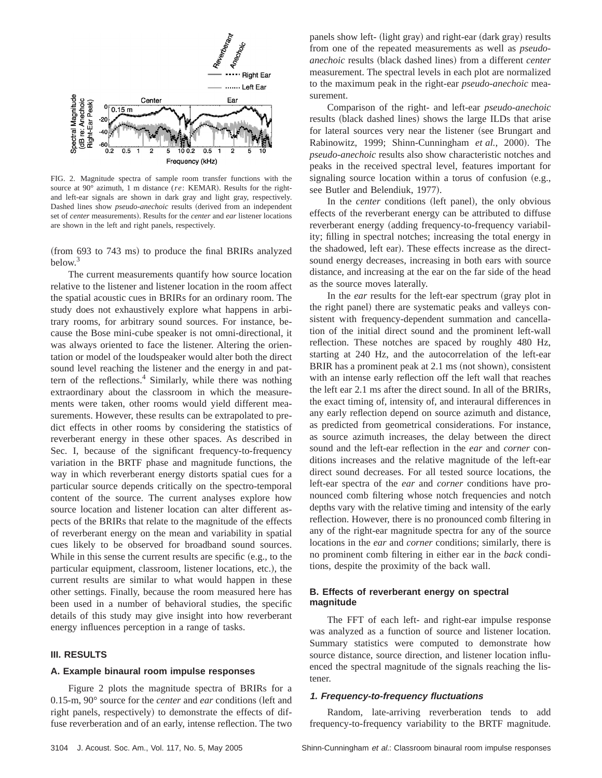

FIG. 2. Magnitude spectra of sample room transfer functions with the source at 90° azimuth, 1 m distance (re: KEMAR). Results for the rightand left-ear signals are shown in dark gray and light gray, respectively. Dashed lines show *pseudo-anechoic* results (derived from an independent set of *center* measurements). Results for the *center* and *ear* listener locations are shown in the left and right panels, respectively.

 $(r_{\rm f}$  (from 693 to 743 ms) to produce the final BRIRs analyzed  $below<sup>3</sup>$ 

The current measurements quantify how source location relative to the listener and listener location in the room affect the spatial acoustic cues in BRIRs for an ordinary room. The study does not exhaustively explore what happens in arbitrary rooms, for arbitrary sound sources. For instance, because the Bose mini-cube speaker is not omni-directional, it was always oriented to face the listener. Altering the orientation or model of the loudspeaker would alter both the direct sound level reaching the listener and the energy in and pattern of the reflections.<sup>4</sup> Similarly, while there was nothing extraordinary about the classroom in which the measurements were taken, other rooms would yield different measurements. However, these results can be extrapolated to predict effects in other rooms by considering the statistics of reverberant energy in these other spaces. As described in Sec. I, because of the significant frequency-to-frequency variation in the BRTF phase and magnitude functions, the way in which reverberant energy distorts spatial cues for a particular source depends critically on the spectro-temporal content of the source. The current analyses explore how source location and listener location can alter different aspects of the BRIRs that relate to the magnitude of the effects of reverberant energy on the mean and variability in spatial cues likely to be observed for broadband sound sources. While in this sense the current results are specific  $(e.g., to the$ particular equipment, classroom, listener locations, etc.), the current results are similar to what would happen in these other settings. Finally, because the room measured here has been used in a number of behavioral studies, the specific details of this study may give insight into how reverberant energy influences perception in a range of tasks.

# **III. RESULTS**

## **A. Example binaural room impulse responses**

Figure 2 plots the magnitude spectra of BRIRs for a 0.15-m, 90° source for the *center* and *ear* conditions (left and right panels, respectively) to demonstrate the effects of diffuse reverberation and of an early, intense reflection. The two panels show left- (light gray) and right-ear (dark gray) results from one of the repeated measurements as well as *pseudo* $a<sub>nechoic</sub>$  results (black dashed lines) from a different *center* measurement. The spectral levels in each plot are normalized to the maximum peak in the right-ear *pseudo-anechoic* measurement.

Comparison of the right- and left-ear *pseudo-anechoic* results (black dashed lines) shows the large ILDs that arise for lateral sources very near the listener (see Brungart and Rabinowitz, 1999; Shinn-Cunningham *et al.*, 2000). The *pseudo-anechoic* results also show characteristic notches and peaks in the received spectral level, features important for signaling source location within a torus of confusion  $(e.g.,)$ see Butler and Belendiuk, 1977).

In the *center* conditions (left panel), the only obvious effects of the reverberant energy can be attributed to diffuse reverberant energy (adding frequency-to-frequency variability; filling in spectral notches; increasing the total energy in the shadowed, left ear). These effects increase as the directsound energy decreases, increasing in both ears with source distance, and increasing at the ear on the far side of the head as the source moves laterally.

In the *ear* results for the left-ear spectrum (gray plot in the right panel) there are systematic peaks and valleys consistent with frequency-dependent summation and cancellation of the initial direct sound and the prominent left-wall reflection. These notches are spaced by roughly 480 Hz, starting at 240 Hz, and the autocorrelation of the left-ear BRIR has a prominent peak at  $2.1 \text{ ms}$  (not shown), consistent with an intense early reflection off the left wall that reaches the left ear 2.1 ms after the direct sound. In all of the BRIRs, the exact timing of, intensity of, and interaural differences in any early reflection depend on source azimuth and distance, as predicted from geometrical considerations. For instance, as source azimuth increases, the delay between the direct sound and the left-ear reflection in the *ear* and *corner* conditions increases and the relative magnitude of the left-ear direct sound decreases. For all tested source locations, the left-ear spectra of the *ear* and *corner* conditions have pronounced comb filtering whose notch frequencies and notch depths vary with the relative timing and intensity of the early reflection. However, there is no pronounced comb filtering in any of the right-ear magnitude spectra for any of the source locations in the *ear* and *corner* conditions; similarly, there is no prominent comb filtering in either ear in the *back* conditions, despite the proximity of the back wall.

## **B. Effects of reverberant energy on spectral magnitude**

The FFT of each left- and right-ear impulse response was analyzed as a function of source and listener location. Summary statistics were computed to demonstrate how source distance, source direction, and listener location influenced the spectral magnitude of the signals reaching the listener.

#### **1. Frequency-to-frequency fluctuations**

Random, late-arriving reverberation tends to add frequency-to-frequency variability to the BRTF magnitude.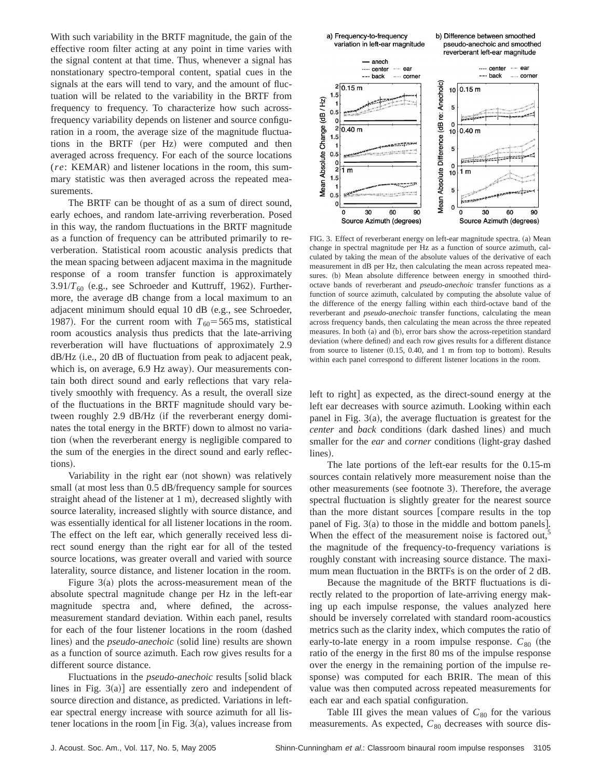With such variability in the BRTF magnitude, the gain of the effective room filter acting at any point in time varies with the signal content at that time. Thus, whenever a signal has nonstationary spectro-temporal content, spatial cues in the signals at the ears will tend to vary, and the amount of fluctuation will be related to the variability in the BRTF from frequency to frequency. To characterize how such acrossfrequency variability depends on listener and source configuration in a room, the average size of the magnitude fluctuations in the BRTF (per Hz) were computed and then averaged across frequency. For each of the source locations (*re*: KEMAR) and listener locations in the room, this summary statistic was then averaged across the repeated measurements.

The BRTF can be thought of as a sum of direct sound, early echoes, and random late-arriving reverberation. Posed in this way, the random fluctuations in the BRTF magnitude as a function of frequency can be attributed primarily to reverberation. Statistical room acoustic analysis predicts that the mean spacing between adjacent maxima in the magnitude response of a room transfer function is approximately  $3.91/T_{60}$  (e.g., see Schroeder and Kuttruff, 1962). Furthermore, the average dB change from a local maximum to an adjacent minimum should equal 10 dB (e.g., see Schroeder, 1987). For the current room with  $T_{60}$ = 565 ms, statistical room acoustics analysis thus predicts that the late-arriving reverberation will have fluctuations of approximately 2.9 dB/Hz (i.e., 20 dB of fluctuation from peak to adjacent peak, which is, on average, 6.9 Hz away). Our measurements contain both direct sound and early reflections that vary relatively smoothly with frequency. As a result, the overall size of the fluctuations in the BRTF magnitude should vary between roughly 2.9 dB/Hz (if the reverberant energy dominates the total energy in the BRTF) down to almost no variation (when the reverberant energy is negligible compared to the sum of the energies in the direct sound and early reflections).

Variability in the right ear (not shown) was relatively small (at most less than 0.5 dB/frequency sample for sources straight ahead of the listener at  $1 \text{ m}$ , decreased slightly with source laterality, increased slightly with source distance, and was essentially identical for all listener locations in the room. The effect on the left ear, which generally received less direct sound energy than the right ear for all of the tested source locations, was greater overall and varied with source laterality, source distance, and listener location in the room.

Figure  $3(a)$  plots the across-measurement mean of the absolute spectral magnitude change per Hz in the left-ear magnitude spectra and, where defined, the acrossmeasurement standard deviation. Within each panel, results for each of the four listener locations in the room (dashed lines) and the *pseudo-anechoic* (solid line) results are shown as a function of source azimuth. Each row gives results for a different source distance.

Fluctuations in the *pseudo-anechoic* results [solid black] lines in Fig.  $3(a)$ ] are essentially zero and independent of source direction and distance, as predicted. Variations in leftear spectral energy increase with source azimuth for all listener locations in the room [in Fig. 3(a), values increase from



b) Difference between smoothed pseudo-anechoic and smoothed reverberant left-ear magnitude



FIG. 3. Effect of reverberant energy on left-ear magnitude spectra. (a) Mean change in spectral magnitude per Hz as a function of source azimuth, calculated by taking the mean of the absolute values of the derivative of each measurement in dB per Hz, then calculating the mean across repeated measures. (b) Mean absolute difference between energy in smoothed thirdoctave bands of reverberant and *pseudo-anechoic* transfer functions as a function of source azimuth, calculated by computing the absolute value of the difference of the energy falling within each third-octave band of the reverberant and *pseudo-anechoic* transfer functions, calculating the mean across frequency bands, then calculating the mean across the three repeated measures. In both  $(a)$  and  $(b)$ , error bars show the across-repetition standard deviation (where defined) and each row gives results for a different distance from source to listener  $(0.15, 0.40,$  and 1 m from top to bottom). Results within each panel correspond to different listener locations in the room.

left to right] as expected, as the direct-sound energy at the left ear decreases with source azimuth. Looking within each panel in Fig.  $3(a)$ , the average fluctuation is greatest for the *center* and *back* conditions (dark dashed lines) and much smaller for the *ear* and *corner* conditions (light-gray dashed lines).

The late portions of the left-ear results for the 0.15-m sources contain relatively more measurement noise than the other measurements (see footnote 3). Therefore, the average spectral fluctuation is slightly greater for the nearest source than the more distant sources [compare results in the top panel of Fig.  $3(a)$  to those in the middle and bottom panels]. When the effect of the measurement noise is factored out,<sup>5</sup> the magnitude of the frequency-to-frequency variations is roughly constant with increasing source distance. The maximum mean fluctuation in the BRTFs is on the order of 2 dB.

Because the magnitude of the BRTF fluctuations is directly related to the proportion of late-arriving energy making up each impulse response, the values analyzed here should be inversely correlated with standard room-acoustics metrics such as the clarity index, which computes the ratio of early-to-late energy in a room impulse response.  $C_{80}$  (the ratio of the energy in the first 80 ms of the impulse response over the energy in the remaining portion of the impulse response) was computed for each BRIR. The mean of this value was then computed across repeated measurements for each ear and each spatial configuration.

Table III gives the mean values of  $C_{80}$  for the various measurements. As expected,  $C_{80}$  decreases with source dis-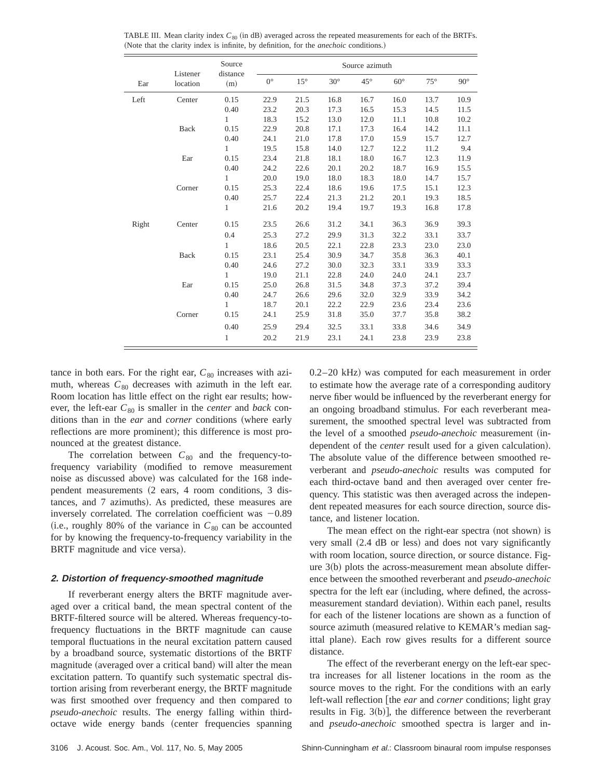TABLE III. Mean clarity index  $C_{80}$  (in dB) averaged across the repeated measurements for each of the BRTFs. (Note that the clarity index is infinite, by definition, for the *anechoic* conditions.)

|       | Listener | Source          | Source azimuth |              |            |              |            |            |            |
|-------|----------|-----------------|----------------|--------------|------------|--------------|------------|------------|------------|
| Ear   | location | distance<br>(m) | $0^{\circ}$    | $15^{\circ}$ | $30^\circ$ | $45^{\circ}$ | $60^\circ$ | $75^\circ$ | $90^\circ$ |
| Left  | Center   | 0.15            | 22.9           | 21.5         | 16.8       | 16.7         | 16.0       | 13.7       | 10.9       |
|       |          | 0.40            | 23.2           | 20.3         | 17.3       | 16.5         | 15.3       | 14.5       | 11.5       |
|       |          | 1               | 18.3           | 15.2         | 13.0       | 12.0         | 11.1       | 10.8       | 10.2       |
|       | Back     | 0.15            | 22.9           | 20.8         | 17.1       | 17.3         | 16.4       | 14.2       | 11.1       |
|       |          | 0.40            | 24.1           | 21.0         | 17.8       | 17.0         | 15.9       | 15.7       | 12.7       |
|       |          | $\mathbf{1}$    | 19.5           | 15.8         | 14.0       | 12.7         | 12.2       | 11.2       | 9.4        |
|       | Ear      | 0.15            | 23.4           | 21.8         | 18.1       | 18.0         | 16.7       | 12.3       | 11.9       |
|       |          | 0.40            | 24.2           | 22.6         | 20.1       | 20.2         | 18.7       | 16.9       | 15.5       |
|       |          | 1               | 20.0           | 19.0         | 18.0       | 18.3         | 18.0       | 14.7       | 15.7       |
|       | Corner   | 0.15            | 25.3           | 22.4         | 18.6       | 19.6         | 17.5       | 15.1       | 12.3       |
|       |          | 0.40            | 25.7           | 22.4         | 21.3       | 21.2         | 20.1       | 19.3       | 18.5       |
|       |          | $\mathbf{1}$    | 21.6           | 20.2         | 19.4       | 19.7         | 19.3       | 16.8       | 17.8       |
| Right | Center   | 0.15            | 23.5           | 26.6         | 31.2       | 34.1         | 36.3       | 36.9       | 39.3       |
|       |          | 0.4             | 25.3           | 27.2         | 29.9       | 31.3         | 32.2       | 33.1       | 33.7       |
|       |          | $\mathbf{1}$    | 18.6           | 20.5         | 22.1       | 22.8         | 23.3       | 23.0       | 23.0       |
|       | Back     | 0.15            | 23.1           | 25.4         | 30.9       | 34.7         | 35.8       | 36.3       | 40.1       |
|       |          | 0.40            | 24.6           | 27.2         | 30.0       | 32.3         | 33.1       | 33.9       | 33.3       |
|       |          | 1               | 19.0           | 21.1         | 22.8       | 24.0         | 24.0       | 24.1       | 23.7       |
|       | Ear      | 0.15            | 25.0           | 26.8         | 31.5       | 34.8         | 37.3       | 37.2       | 39.4       |
|       |          | 0.40            | 24.7           | 26.6         | 29.6       | 32.0         | 32.9       | 33.9       | 34.2       |
|       |          | 1               | 18.7           | 20.1         | 22.2       | 22.9         | 23.6       | 23.4       | 23.6       |
|       | Corner   | 0.15            | 24.1           | 25.9         | 31.8       | 35.0         | 37.7       | 35.8       | 38.2       |
|       |          | 0.40            | 25.9           | 29.4         | 32.5       | 33.1         | 33.8       | 34.6       | 34.9       |
|       |          | $\mathbf{1}$    | 20.2           | 21.9         | 23.1       | 24.1         | 23.8       | 23.9       | 23.8       |

tance in both ears. For the right ear,  $C_{80}$  increases with azimuth, whereas  $C_{80}$  decreases with azimuth in the left ear. Room location has little effect on the right ear results; however, the left-ear  $C_{80}$  is smaller in the *center* and *back* conditions than in the *ear* and *corner* conditions (where early reflections are more prominent); this difference is most pronounced at the greatest distance.

The correlation between  $C_{80}$  and the frequency-tofrequency variability (modified to remove measurement noise as discussed above) was calculated for the 168 independent measurements  $(2 \text{ ears}, 4 \text{ room conditions}, 3 \text{ dis-}$ tances, and 7 azimuths). As predicted, these measures are inversely correlated. The correlation coefficient was  $-0.89$ (i.e., roughly 80% of the variance in  $C_{80}$  can be accounted for by knowing the frequency-to-frequency variability in the BRTF magnitude and vice versa).

# **2. Distortion of frequency-smoothed magnitude**

If reverberant energy alters the BRTF magnitude averaged over a critical band, the mean spectral content of the BRTF-filtered source will be altered. Whereas frequency-tofrequency fluctuations in the BRTF magnitude can cause temporal fluctuations in the neural excitation pattern caused by a broadband source, systematic distortions of the BRTF magnitude (averaged over a critical band) will alter the mean excitation pattern. To quantify such systematic spectral distortion arising from reverberant energy, the BRTF magnitude was first smoothed over frequency and then compared to *pseudo-anechoic* results. The energy falling within thirdoctave wide energy bands (center frequencies spanning  $0.2-20$  kHz) was computed for each measurement in order to estimate how the average rate of a corresponding auditory nerve fiber would be influenced by the reverberant energy for an ongoing broadband stimulus. For each reverberant measurement, the smoothed spectral level was subtracted from the level of a smoothed *pseudo-anechoic* measurement (independent of the *center* result used for a given calculation). The absolute value of the difference between smoothed reverberant and *pseudo-anechoic* results was computed for each third-octave band and then averaged over center frequency. This statistic was then averaged across the independent repeated measures for each source direction, source distance, and listener location.

The mean effect on the right-ear spectra (not shown) is very small  $(2.4$  dB or less) and does not vary significantly with room location, source direction, or source distance. Figure  $3(b)$  plots the across-measurement mean absolute difference between the smoothed reverberant and *pseudo-anechoic* spectra for the left ear (including, where defined, the acrossmeasurement standard deviation). Within each panel, results for each of the listener locations are shown as a function of source azimuth (measured relative to KEMAR's median sagittal plane). Each row gives results for a different source distance.

The effect of the reverberant energy on the left-ear spectra increases for all listener locations in the room as the source moves to the right. For the conditions with an early left-wall reflection [the *ear* and *corner* conditions; light gray results in Fig.  $3(b)$ , the difference between the reverberant and *pseudo-anechoic* smoothed spectra is larger and in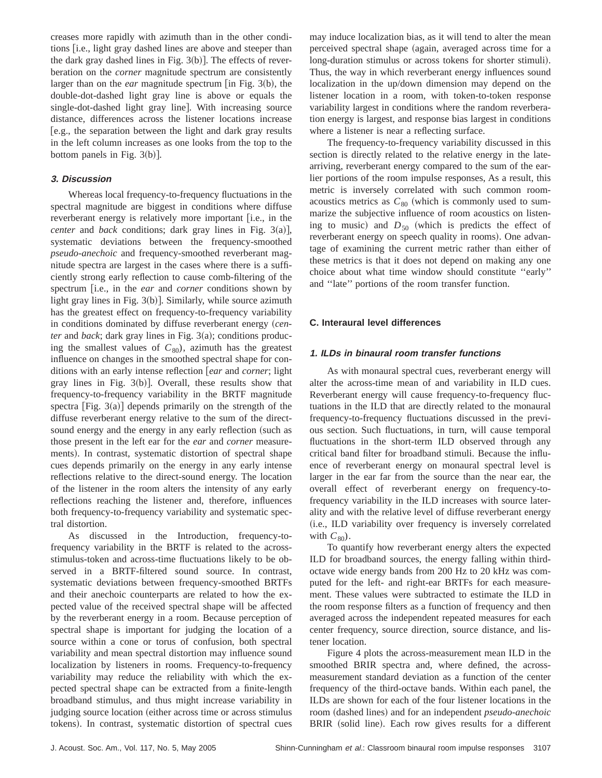creases more rapidly with azimuth than in the other conditions *[i.e., light gray dashed lines are above and steeper than* the dark gray dashed lines in Fig.  $3(b)$ ]. The effects of reverberation on the *corner* magnitude spectrum are consistently larger than on the *ear* magnitude spectrum [in Fig. 3(b), the double-dot-dashed light gray line is above or equals the single-dot-dashed light gray line]. With increasing source distance, differences across the listener locations increase e.g., the separation between the light and dark gray results in the left column increases as one looks from the top to the bottom panels in Fig.  $3(b)$ ].

# **3. Discussion**

Whereas local frequency-to-frequency fluctuations in the spectral magnitude are biggest in conditions where diffuse reverberant energy is relatively more important [i.e., in the *center* and *back* conditions; dark gray lines in Fig.  $3(a)$ ], systematic deviations between the frequency-smoothed *pseudo-anechoic* and frequency-smoothed reverberant magnitude spectra are largest in the cases where there is a sufficiently strong early reflection to cause comb-filtering of the spectrum [i.e., in the *ear* and *corner* conditions shown by light gray lines in Fig.  $3(b)$ . Similarly, while source azimuth has the greatest effect on frequency-to-frequency variability in conditions dominated by diffuse reverberant energy (cen $ter$  and *back*; dark gray lines in Fig.  $3(a)$ ; conditions producing the smallest values of  $C_{80}$ , azimuth has the greatest influence on changes in the smoothed spectral shape for conditions with an early intense reflection [ear and corner; light gray lines in Fig.  $3(b)$ ]. Overall, these results show that frequency-to-frequency variability in the BRTF magnitude spectra  $[Fig. 3(a)]$  depends primarily on the strength of the diffuse reverberant energy relative to the sum of the directsound energy and the energy in any early reflection (such as those present in the left ear for the *ear* and *corner* measurements). In contrast, systematic distortion of spectral shape cues depends primarily on the energy in any early intense reflections relative to the direct-sound energy. The location of the listener in the room alters the intensity of any early reflections reaching the listener and, therefore, influences both frequency-to-frequency variability and systematic spectral distortion.

As discussed in the Introduction, frequency-tofrequency variability in the BRTF is related to the acrossstimulus-token and across-time fluctuations likely to be observed in a BRTF-filtered sound source. In contrast, systematic deviations between frequency-smoothed BRTFs and their anechoic counterparts are related to how the expected value of the received spectral shape will be affected by the reverberant energy in a room. Because perception of spectral shape is important for judging the location of a source within a cone or torus of confusion, both spectral variability and mean spectral distortion may influence sound localization by listeners in rooms. Frequency-to-frequency variability may reduce the reliability with which the expected spectral shape can be extracted from a finite-length broadband stimulus, and thus might increase variability in judging source location (either across time or across stimulus tokens). In contrast, systematic distortion of spectral cues

may induce localization bias, as it will tend to alter the mean perceived spectral shape (again, averaged across time for a long-duration stimulus or across tokens for shorter stimuli). Thus, the way in which reverberant energy influences sound localization in the up/down dimension may depend on the listener location in a room, with token-to-token response variability largest in conditions where the random reverberation energy is largest, and response bias largest in conditions where a listener is near a reflecting surface.

The frequency-to-frequency variability discussed in this section is directly related to the relative energy in the latearriving, reverberant energy compared to the sum of the earlier portions of the room impulse responses, As a result, this metric is inversely correlated with such common roomacoustics metrics as  $C_{80}$  (which is commonly used to summarize the subjective influence of room acoustics on listening to music) and  $D_{50}$  (which is predicts the effect of reverberant energy on speech quality in rooms). One advantage of examining the current metric rather than either of these metrics is that it does not depend on making any one choice about what time window should constitute ''early'' and ''late'' portions of the room transfer function.

# **C. Interaural level differences**

# **1. ILDs in binaural room transfer functions**

As with monaural spectral cues, reverberant energy will alter the across-time mean of and variability in ILD cues. Reverberant energy will cause frequency-to-frequency fluctuations in the ILD that are directly related to the monaural frequency-to-frequency fluctuations discussed in the previous section. Such fluctuations, in turn, will cause temporal fluctuations in the short-term ILD observed through any critical band filter for broadband stimuli. Because the influence of reverberant energy on monaural spectral level is larger in the ear far from the source than the near ear, the overall effect of reverberant energy on frequency-tofrequency variability in the ILD increases with source laterality and with the relative level of diffuse reverberant energy (i.e., ILD variability over frequency is inversely correlated with  $C_{80}$ ).

To quantify how reverberant energy alters the expected ILD for broadband sources, the energy falling within thirdoctave wide energy bands from 200 Hz to 20 kHz was computed for the left- and right-ear BRTFs for each measurement. These values were subtracted to estimate the ILD in the room response filters as a function of frequency and then averaged across the independent repeated measures for each center frequency, source direction, source distance, and listener location.

Figure 4 plots the across-measurement mean ILD in the smoothed BRIR spectra and, where defined, the acrossmeasurement standard deviation as a function of the center frequency of the third-octave bands. Within each panel, the ILDs are shown for each of the four listener locations in the room (dashed lines) and for an independent *pseudo-anechoic* BRIR (solid line). Each row gives results for a different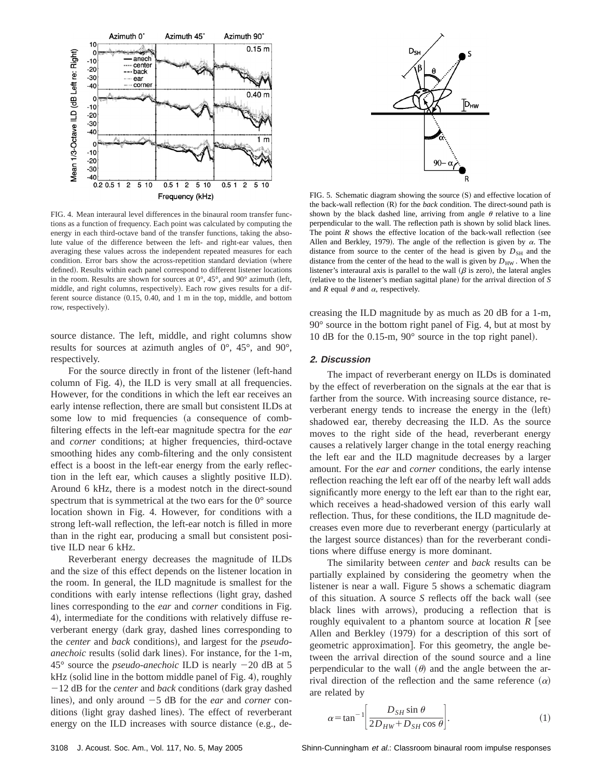

FIG. 4. Mean interaural level differences in the binaural room transfer functions as a function of frequency. Each point was calculated by computing the energy in each third-octave band of the transfer functions, taking the absolute value of the difference between the left- and right-ear values, then averaging these values across the independent repeated measures for each condition. Error bars show the across-repetition standard deviation (where defined). Results within each panel correspond to different listener locations in the room. Results are shown for sources at  $0^{\circ}$ ,  $45^{\circ}$ , and  $90^{\circ}$  azimuth (left, middle, and right columns, respectively). Each row gives results for a different source distance  $(0.15, 0.40,$  and 1 m in the top, middle, and bottom row, respectively).

source distance. The left, middle, and right columns show results for sources at azimuth angles of  $0^{\circ}$ ,  $45^{\circ}$ , and  $90^{\circ}$ , respectively.

For the source directly in front of the listener (left-hand column of Fig. 4), the ILD is very small at all frequencies. However, for the conditions in which the left ear receives an early intense reflection, there are small but consistent ILDs at some low to mid frequencies (a consequence of combfiltering effects in the left-ear magnitude spectra for the *ear* and *corner* conditions; at higher frequencies, third-octave smoothing hides any comb-filtering and the only consistent effect is a boost in the left-ear energy from the early reflection in the left ear, which causes a slightly positive ILD). Around 6 kHz, there is a modest notch in the direct-sound spectrum that is symmetrical at the two ears for the 0° source location shown in Fig. 4. However, for conditions with a strong left-wall reflection, the left-ear notch is filled in more than in the right ear, producing a small but consistent positive ILD near 6 kHz.

Reverberant energy decreases the magnitude of ILDs and the size of this effect depends on the listener location in the room. In general, the ILD magnitude is smallest for the conditions with early intense reflections (light gray, dashed lines corresponding to the *ear* and *corner* conditions in Fig. 4), intermediate for the conditions with relatively diffuse reverberant energy (dark gray, dashed lines corresponding to the *center* and *back* conditions), and largest for the *pseudoanechoic* results (solid dark lines). For instance, for the 1-m,  $45^{\circ}$  source the *pseudo-anechoic* ILD is nearly  $-20$  dB at 5  $kHz$  (solid line in the bottom middle panel of Fig. 4), roughly  $-12$  dB for the *center* and *back* conditions (dark gray dashed lines), and only around  $-5$  dB for the *ear* and *corner* conditions (light gray dashed lines). The effect of reverberant energy on the ILD increases with source distance  $(e.g., de-$ 



FIG. 5. Schematic diagram showing the source  $(S)$  and effective location of the back-wall reflection (R) for the *back* condition. The direct-sound path is shown by the black dashed line, arriving from angle  $\theta$  relative to a line perpendicular to the wall. The reflection path is shown by solid black lines. The point  $R$  shows the effective location of the back-wall reflection (see Allen and Berkley, 1979). The angle of the reflection is given by  $\alpha$ . The distance from source to the center of the head is given by  $D_{\text{SH}}$  and the distance from the center of the head to the wall is given by  $D_{HW}$ . When the listener's interaural axis is parallel to the wall  $(\beta$  is zero), the lateral angles (relative to the listener's median sagittal plane) for the arrival direction of *S* and *R* equal  $\theta$  and  $\alpha$ , respectively.

creasing the ILD magnitude by as much as 20 dB for a 1-m, 90° source in the bottom right panel of Fig. 4, but at most by 10 dB for the  $0.15$ -m,  $90^\circ$  source in the top right panel).

## **2. Discussion**

The impact of reverberant energy on ILDs is dominated by the effect of reverberation on the signals at the ear that is farther from the source. With increasing source distance, reverberant energy tends to increase the energy in the (left) shadowed ear, thereby decreasing the ILD. As the source moves to the right side of the head, reverberant energy causes a relatively larger change in the total energy reaching the left ear and the ILD magnitude decreases by a larger amount. For the *ear* and *corner* conditions, the early intense reflection reaching the left ear off of the nearby left wall adds significantly more energy to the left ear than to the right ear, which receives a head-shadowed version of this early wall reflection. Thus, for these conditions, the ILD magnitude decreases even more due to reverberant energy (particularly at the largest source distances) than for the reverberant conditions where diffuse energy is more dominant.

The similarity between *center* and *back* results can be partially explained by considering the geometry when the listener is near a wall. Figure 5 shows a schematic diagram of this situation. A source *S* reflects off the back wall (see black lines with arrows), producing a reflection that is roughly equivalent to a phantom source at location  $R$  [see Allen and Berkley (1979) for a description of this sort of geometric approximation. For this geometry, the angle between the arrival direction of the sound source and a line perpendicular to the wall  $(\theta)$  and the angle between the arrival direction of the reflection and the same reference  $(\alpha)$ are related by

$$
\alpha = \tan^{-1} \left[ \frac{D_{SH} \sin \theta}{2D_{HW} + D_{SH} \cos \theta} \right].
$$
 (1)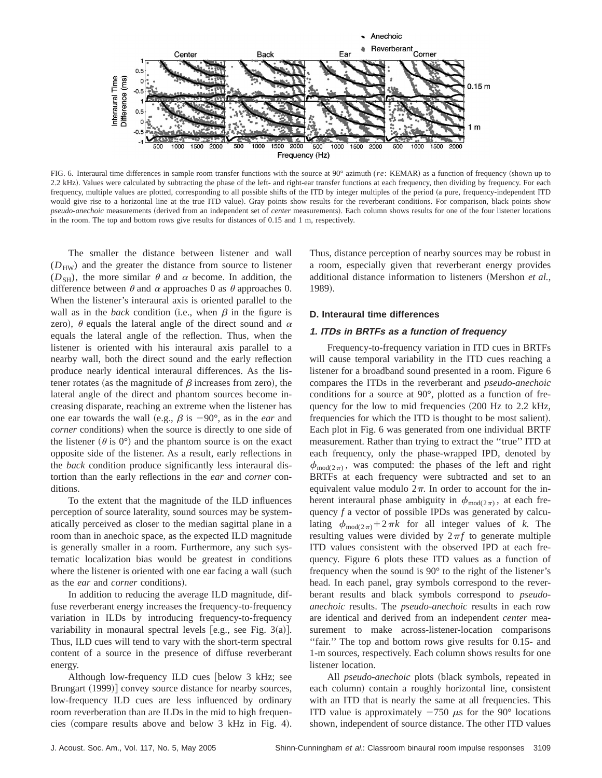

FIG. 6. Interaural time differences in sample room transfer functions with the source at 90° azimuth (*re*: KEMAR) as a function of frequency (shown up to 2.2 kHz). Values were calculated by subtracting the phase of the left- and right-ear transfer functions at each frequency, then dividing by frequency. For each frequency, multiple values are plotted, corresponding to all possible shifts of the ITD by integer multiples of the period (a pure, frequency-independent ITD would give rise to a horizontal line at the true ITD value). Gray points show results for the reverberant conditions. For comparison, black points show *pseudo-anechoic* measurements (derived from an independent set of *center* measurements). Each column shows results for one of the four listener locations in the room. The top and bottom rows give results for distances of 0.15 and 1 m, respectively.

The smaller the distance between listener and wall  $(D<sub>HW</sub>)$  and the greater the distance from source to listener  $(D<sub>SH</sub>)$ , the more similar  $\theta$  and  $\alpha$  become. In addition, the difference between  $\theta$  and  $\alpha$  approaches 0 as  $\theta$  approaches 0. When the listener's interaural axis is oriented parallel to the wall as in the *back* condition (i.e., when  $\beta$  in the figure is zero),  $\theta$  equals the lateral angle of the direct sound and  $\alpha$ equals the lateral angle of the reflection. Thus, when the listener is oriented with his interaural axis parallel to a nearby wall, both the direct sound and the early reflection produce nearly identical interaural differences. As the listener rotates (as the magnitude of  $\beta$  increases from zero), the lateral angle of the direct and phantom sources become increasing disparate, reaching an extreme when the listener has one ear towards the wall (e.g.,  $\beta$  is  $-90^{\circ}$ , as in the *ear* and *corner* conditions) when the source is directly to one side of the listener ( $\theta$  is 0°) and the phantom source is on the exact opposite side of the listener. As a result, early reflections in the *back* condition produce significantly less interaural distortion than the early reflections in the *ear* and *corner* conditions.

To the extent that the magnitude of the ILD influences perception of source laterality, sound sources may be systematically perceived as closer to the median sagittal plane in a room than in anechoic space, as the expected ILD magnitude is generally smaller in a room. Furthermore, any such systematic localization bias would be greatest in conditions where the listener is oriented with one ear facing a wall (such as the *ear* and *corner* conditions).

In addition to reducing the average ILD magnitude, diffuse reverberant energy increases the frequency-to-frequency variation in ILDs by introducing frequency-to-frequency variability in monaural spectral levels  $[e.g.,\]$  see Fig. 3(a). Thus, ILD cues will tend to vary with the short-term spectral content of a source in the presence of diffuse reverberant energy.

Although low-frequency ILD cues  $\lceil$ below 3 kHz; see Brungart (1999)] convey source distance for nearby sources, low-frequency ILD cues are less influenced by ordinary room reverberation than are ILDs in the mid to high frequencies (compare results above and below  $3$  kHz in Fig. 4). Thus, distance perception of nearby sources may be robust in a room, especially given that reverberant energy provides additional distance information to listeners (Mershon *et al.*, 1989).

## **D. Interaural time differences**

## **1. ITDs in BRTFs as <sup>a</sup> function of frequency**

Frequency-to-frequency variation in ITD cues in BRTFs will cause temporal variability in the ITD cues reaching a listener for a broadband sound presented in a room. Figure 6 compares the ITDs in the reverberant and *pseudo-anechoic* conditions for a source at 90°, plotted as a function of frequency for the low to mid frequencies  $(200 \text{ Hz to } 2.2 \text{ kHz},$ frequencies for which the ITD is thought to be most salient). Each plot in Fig. 6 was generated from one individual BRTF measurement. Rather than trying to extract the ''true'' ITD at each frequency, only the phase-wrapped IPD, denoted by  $\phi_{\text{mod}(2\pi)}$ , was computed: the phases of the left and right BRTFs at each frequency were subtracted and set to an equivalent value modulo  $2\pi$ . In order to account for the inherent interaural phase ambiguity in  $\phi_{\text{mod}(2\pi)}$ , at each frequency *f* a vector of possible IPDs was generated by calculating  $\phi_{\text{mod}(2\pi)}+2\pi k$  for all integer values of *k*. The resulting values were divided by  $2\pi f$  to generate multiple ITD values consistent with the observed IPD at each frequency. Figure 6 plots these ITD values as a function of frequency when the sound is 90° to the right of the listener's head. In each panel, gray symbols correspond to the reverberant results and black symbols correspond to *pseudoanechoic* results. The *pseudo-anechoic* results in each row are identical and derived from an independent *center* measurement to make across-listener-location comparisons "fair." The top and bottom rows give results for 0.15- and 1-m sources, respectively. Each column shows results for one listener location.

All *pseudo-anechoic* plots (black symbols, repeated in each column) contain a roughly horizontal line, consistent with an ITD that is nearly the same at all frequencies. This ITD value is approximately  $-750 \mu s$  for the 90° locations shown, independent of source distance. The other ITD values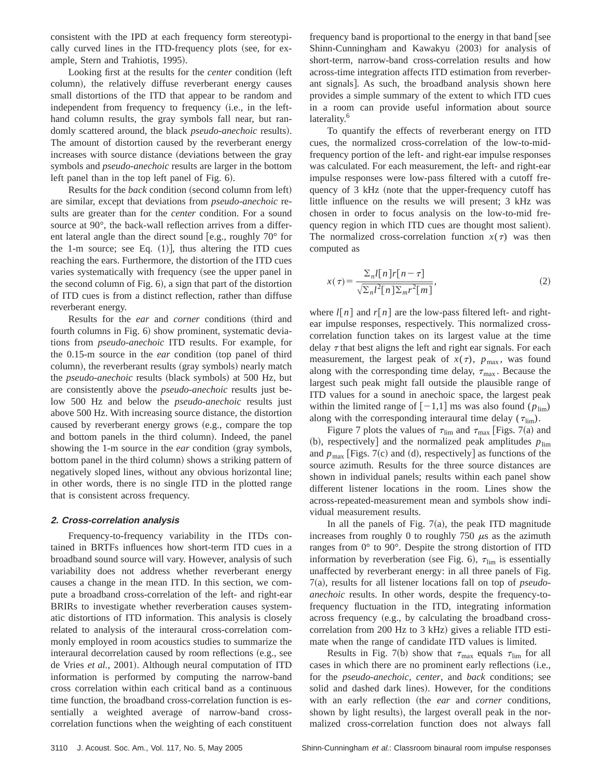consistent with the IPD at each frequency form stereotypically curved lines in the ITD-frequency plots (see, for example, Stern and Trahiotis, 1995).

Looking first at the results for the *center* condition (left column), the relatively diffuse reverberant energy causes small distortions of the ITD that appear to be random and independent from frequency to frequency (i.e., in the lefthand column results, the gray symbols fall near, but randomly scattered around, the black *pseudo-anechoic* results). The amount of distortion caused by the reverberant energy increases with source distance (deviations between the gray symbols and *pseudo-anechoic* results are larger in the bottom left panel than in the top left panel of Fig.  $6$ ).

Results for the *back* condition (second column from left) are similar, except that deviations from *pseudo-anechoic* results are greater than for the *center* condition. For a sound source at 90°, the back-wall reflection arrives from a different lateral angle than the direct sound [e.g., roughly  $70^{\circ}$  for the 1-m source; see Eq.  $(1)$ ], thus altering the ITD cues reaching the ears. Furthermore, the distortion of the ITD cues varies systematically with frequency (see the upper panel in the second column of Fig.  $6$ ), a sign that part of the distortion of ITD cues is from a distinct reflection, rather than diffuse reverberant energy.

Results for the *ear* and *corner* conditions (third and fourth columns in Fig. 6) show prominent, systematic deviations from *pseudo-anechoic* ITD results. For example, for the 0.15-m source in the *ear* condition (top panel of third column), the reverberant results (gray symbols) nearly match the *pseudo-anechoic* results (black symbols) at 500 Hz, but are consistently above the *pseudo-anechoic* results just below 500 Hz and below the *pseudo-anechoic* results just above 500 Hz. With increasing source distance, the distortion caused by reverberant energy grows (e.g., compare the top and bottom panels in the third column). Indeed, the panel showing the 1-m source in the *ear* condition (gray symbols, bottom panel in the third column) shows a striking pattern of negatively sloped lines, without any obvious horizontal line; in other words, there is no single ITD in the plotted range that is consistent across frequency.

## **2. Cross-correlation analysis**

Frequency-to-frequency variability in the ITDs contained in BRTFs influences how short-term ITD cues in a broadband sound source will vary. However, analysis of such variability does not address whether reverberant energy causes a change in the mean ITD. In this section, we compute a broadband cross-correlation of the left- and right-ear BRIRs to investigate whether reverberation causes systematic distortions of ITD information. This analysis is closely related to analysis of the interaural cross-correlation commonly employed in room acoustics studies to summarize the interaural decorrelation caused by room reflections (e.g., see de Vries *et al.*, 2001). Although neural computation of ITD information is performed by computing the narrow-band cross correlation within each critical band as a continuous time function, the broadband cross-correlation function is essentially a weighted average of narrow-band crosscorrelation functions when the weighting of each constituent frequency band is proportional to the energy in that band  $\lceil$  see Shinn-Cunningham and Kawakyu (2003) for analysis of short-term, narrow-band cross-correlation results and how across-time integration affects ITD estimation from reverberant signals]. As such, the broadband analysis shown here provides a simple summary of the extent to which ITD cues in a room can provide useful information about source laterality.<sup>6</sup>

To quantify the effects of reverberant energy on ITD cues, the normalized cross-correlation of the low-to-midfrequency portion of the left- and right-ear impulse responses was calculated. For each measurement, the left- and right-ear impulse responses were low-pass filtered with a cutoff frequency of 3 kHz (note that the upper-frequency cutoff has little influence on the results we will present; 3 kHz was chosen in order to focus analysis on the low-to-mid frequency region in which ITD cues are thought most salient). The normalized cross-correlation function  $x(\tau)$  was then computed as

$$
x(\tau) = \frac{\sum_{n} \left[ n \right] r \left[ n - \tau \right]}{\sqrt{\sum_{n} l^{2} \left[ n \right] \sum_{m} r^{2} \left[ m \right] }} , \tag{2}
$$

where  $l[n]$  and  $r[n]$  are the low-pass filtered left- and rightear impulse responses, respectively. This normalized crosscorrelation function takes on its largest value at the time delay  $\tau$  that best aligns the left and right ear signals. For each measurement, the largest peak of  $x(\tau)$ ,  $p_{\text{max}}$ , was found along with the corresponding time delay,  $\tau_{\text{max}}$ . Because the largest such peak might fall outside the plausible range of ITD values for a sound in anechoic space, the largest peak within the limited range of  $[-1,1]$  ms was also found ( $p_{\text{lim}}$ ) along with the corresponding interaural time delay ( $\tau_{\text{lim}}$ ).

Figure 7 plots the values of  $\tau_{\text{lim}}$  and  $\tau_{\text{max}}$  [Figs. 7(a) and (b), respectively] and the normalized peak amplitudes  $p_{\text{lim}}$ and  $p_{\text{max}}$  [Figs. 7(c) and (d), respectively] as functions of the source azimuth. Results for the three source distances are shown in individual panels; results within each panel show different listener locations in the room. Lines show the across-repeated-measurement mean and symbols show individual measurement results.

In all the panels of Fig.  $7(a)$ , the peak ITD magnitude increases from roughly 0 to roughly 750  $\mu$ s as the azimuth ranges from 0° to 90°. Despite the strong distortion of ITD information by reverberation (see Fig. 6),  $\tau_{\text{lim}}$  is essentially unaffected by reverberant energy: in all three panels of Fig. 7(a), results for all listener locations fall on top of *pseudoanechoic* results. In other words, despite the frequency-tofrequency fluctuation in the ITD, integrating information across frequency (e.g., by calculating the broadband crosscorrelation from 200 Hz to 3 kHz) gives a reliable ITD estimate when the range of candidate ITD values is limited.

Results in Fig. 7(b) show that  $\tau_{\text{max}}$  equals  $\tau_{\text{lim}}$  for all cases in which there are no prominent early reflections (i.e., for the *pseudo-anechoic, center*, and *back* conditions; see solid and dashed dark lines). However, for the conditions with an early reflection (the *ear* and *corner* conditions, shown by light results), the largest overall peak in the normalized cross-correlation function does not always fall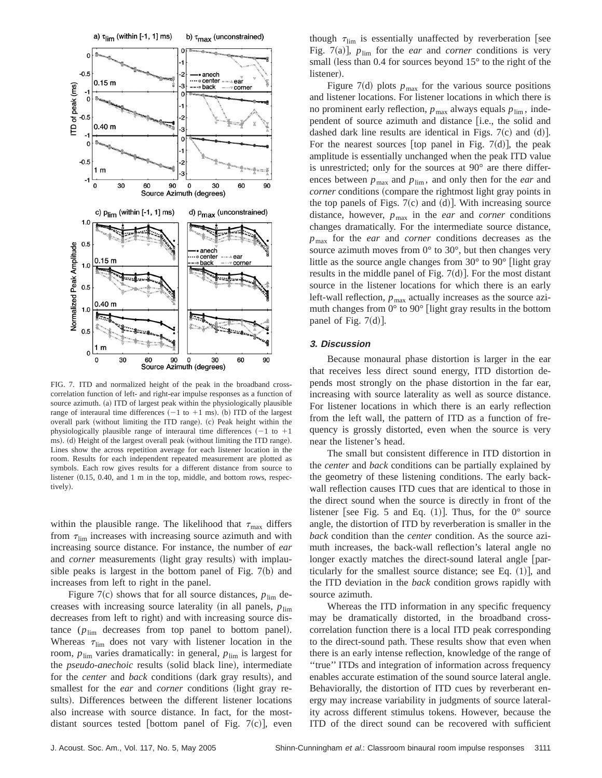

FIG. 7. ITD and normalized height of the peak in the broadband crosscorrelation function of left- and right-ear impulse responses as a function of source azimuth. (a) ITD of largest peak within the physiologically plausible range of interaural time differences  $(-1 \text{ to } +1 \text{ ms})$ . (b) ITD of the largest overall park (without limiting the ITD range). (c) Peak height within the physiologically plausible range of interaural time differences  $(-1 \text{ to } +1)$ ms). (d) Height of the largest overall peak (without limiting the ITD range). Lines show the across repetition average for each listener location in the room. Results for each independent repeated measurement are plotted as symbols. Each row gives results for a different distance from source to listener  $(0.15, 0.40,$  and 1 m in the top, middle, and bottom rows, respectively)

within the plausible range. The likelihood that  $\tau_{\text{max}}$  differs from  $\tau_{\rm lim}$  increases with increasing source azimuth and with increasing source distance. For instance, the number of *ear* and *corner* measurements (light gray results) with implausible peaks is largest in the bottom panel of Fig.  $7(b)$  and increases from left to right in the panel.

Figure 7(c) shows that for all source distances,  $p_{\text{lim}}$  decreases with increasing source laterality (in all panels,  $p_{\text{lim}}$ ) decreases from left to right) and with increasing source distance  $(p_{\text{lim}}$  decreases from top panel to bottom panel). Whereas  $\tau_{\text{lim}}$  does not vary with listener location in the room,  $p_{\text{lim}}$  varies dramatically: in general,  $p_{\text{lim}}$  is largest for the *pseudo-anechoic* results (solid black line), intermediate for the *center* and *back* conditions (dark gray results), and smallest for the *ear* and *corner* conditions (light gray results). Differences between the different listener locations also increase with source distance. In fact, for the mostdistant sources tested [bottom panel of Fig.  $7(c)$ ], even though  $\tau_{\text{lim}}$  is essentially unaffected by reverberation [see Fig. 7(a)],  $p_{\text{lim}}$  for the *ear* and *corner* conditions is very small (less than 0.4 for sources beyond  $15^{\circ}$  to the right of the listener).

Figure 7(d) plots  $p_{\text{max}}$  for the various source positions and listener locations. For listener locations in which there is no prominent early reflection,  $p_{\text{max}}$  always equals  $p_{\text{lim}}$ , independent of source azimuth and distance  $[i.e., the solid and$ dashed dark line results are identical in Figs.  $7(c)$  and  $(d)$ ]. For the nearest sources [top panel in Fig. 7 $(d)$ ], the peak amplitude is essentially unchanged when the peak ITD value is unrestricted; only for the sources at 90° are there differences between  $p_{\text{max}}$  and  $p_{\text{lim}}$ , and only then for the *ear* and *corner* conditions (compare the rightmost light gray points in the top panels of Figs.  $7(c)$  and  $(d)$ . With increasing source distance, however,  $p_{\text{max}}$  in the *ear* and *corner* conditions changes dramatically. For the intermediate source distance, *p*max for the *ear* and *corner* conditions decreases as the source azimuth moves from  $0^{\circ}$  to  $30^{\circ}$ , but then changes very little as the source angle changes from  $30^{\circ}$  to  $90^{\circ}$  [light gray results in the middle panel of Fig.  $7(d)$ . For the most distant source in the listener locations for which there is an early left-wall reflection,  $p_{\text{max}}$  actually increases as the source azimuth changes from  $0^{\circ}$  to  $90^{\circ}$  [light gray results in the bottom panel of Fig.  $7(d)$ .

## **3. Discussion**

Because monaural phase distortion is larger in the ear that receives less direct sound energy, ITD distortion depends most strongly on the phase distortion in the far ear, increasing with source laterality as well as source distance. For listener locations in which there is an early reflection from the left wall, the pattern of ITD as a function of frequency is grossly distorted, even when the source is very near the listener's head.

The small but consistent difference in ITD distortion in the *center* and *back* conditions can be partially explained by the geometry of these listening conditions. The early backwall reflection causes ITD cues that are identical to those in the direct sound when the source is directly in front of the listener [see Fig. 5 and Eq.  $(1)$ ]. Thus, for the 0° source angle, the distortion of ITD by reverberation is smaller in the *back* condition than the *center* condition. As the source azimuth increases, the back-wall reflection's lateral angle no longer exactly matches the direct-sound lateral angle [particularly for the smallest source distance; see Eq.  $(1)$ , and the ITD deviation in the *back* condition grows rapidly with source azimuth.

Whereas the ITD information in any specific frequency may be dramatically distorted, in the broadband crosscorrelation function there is a local ITD peak corresponding to the direct-sound path. These results show that even when there is an early intense reflection, knowledge of the range of ''true'' ITDs and integration of information across frequency enables accurate estimation of the sound source lateral angle. Behaviorally, the distortion of ITD cues by reverberant energy may increase variability in judgments of source laterality across different stimulus tokens. However, because the ITD of the direct sound can be recovered with sufficient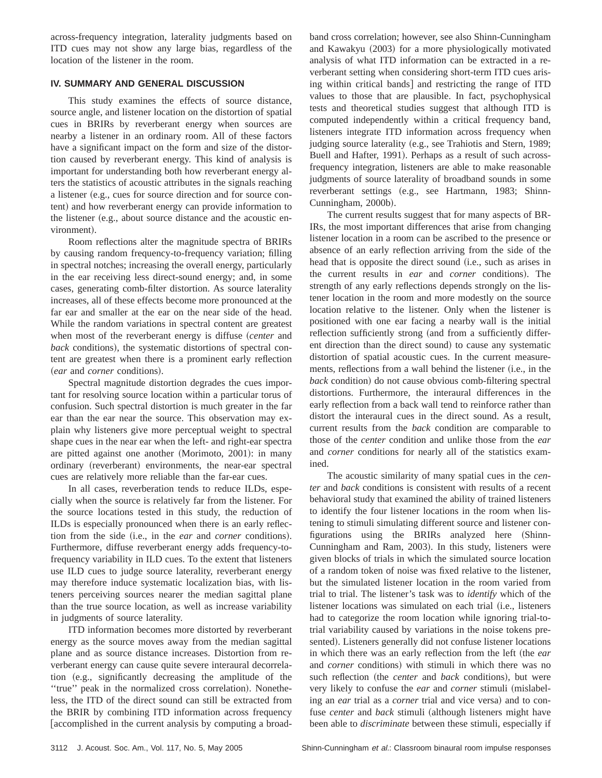across-frequency integration, laterality judgments based on ITD cues may not show any large bias, regardless of the location of the listener in the room.

# **IV. SUMMARY AND GENERAL DISCUSSION**

This study examines the effects of source distance, source angle, and listener location on the distortion of spatial cues in BRIRs by reverberant energy when sources are nearby a listener in an ordinary room. All of these factors have a significant impact on the form and size of the distortion caused by reverberant energy. This kind of analysis is important for understanding both how reverberant energy alters the statistics of acoustic attributes in the signals reaching a listener (e.g., cues for source direction and for source content) and how reverberant energy can provide information to the listener  $(e.g.,$  about source distance and the acoustic environment).

Room reflections alter the magnitude spectra of BRIRs by causing random frequency-to-frequency variation; filling in spectral notches; increasing the overall energy, particularly in the ear receiving less direct-sound energy; and, in some cases, generating comb-filter distortion. As source laterality increases, all of these effects become more pronounced at the far ear and smaller at the ear on the near side of the head. While the random variations in spectral content are greatest when most of the reverberant energy is diffuse (*center* and *back* conditions), the systematic distortions of spectral content are greatest when there is a prominent early reflection (*ear* and *corner* conditions).

Spectral magnitude distortion degrades the cues important for resolving source location within a particular torus of confusion. Such spectral distortion is much greater in the far ear than the ear near the source. This observation may explain why listeners give more perceptual weight to spectral shape cues in the near ear when the left- and right-ear spectra are pitted against one another (Morimoto, 2001): in many ordinary (reverberant) environments, the near-ear spectral cues are relatively more reliable than the far-ear cues.

In all cases, reverberation tends to reduce ILDs, especially when the source is relatively far from the listener. For the source locations tested in this study, the reduction of ILDs is especially pronounced when there is an early reflection from the side (i.e., in the *ear* and *corner* conditions). Furthermore, diffuse reverberant energy adds frequency-tofrequency variability in ILD cues. To the extent that listeners use ILD cues to judge source laterality, reverberant energy may therefore induce systematic localization bias, with listeners perceiving sources nearer the median sagittal plane than the true source location, as well as increase variability in judgments of source laterality.

ITD information becomes more distorted by reverberant energy as the source moves away from the median sagittal plane and as source distance increases. Distortion from reverberant energy can cause quite severe interaural decorrelation (e.g., significantly decreasing the amplitude of the "true" peak in the normalized cross correlation). Nonetheless, the ITD of the direct sound can still be extracted from the BRIR by combining ITD information across frequency [accomplished in the current analysis by computing a broadband cross correlation; however, see also Shinn-Cunningham and Kawakyu (2003) for a more physiologically motivated analysis of what ITD information can be extracted in a reverberant setting when considering short-term ITD cues arising within critical bands] and restricting the range of ITD values to those that are plausible. In fact, psychophysical tests and theoretical studies suggest that although ITD is computed independently within a critical frequency band, listeners integrate ITD information across frequency when judging source laterality (e.g., see Trahiotis and Stern, 1989; Buell and Hafter, 1991). Perhaps as a result of such acrossfrequency integration, listeners are able to make reasonable judgments of source laterality of broadband sounds in some reverberant settings (e.g., see Hartmann, 1983; Shinn-Cunningham, 2000b).

The current results suggest that for many aspects of BR-IRs, the most important differences that arise from changing listener location in a room can be ascribed to the presence or absence of an early reflection arriving from the side of the head that is opposite the direct sound (i.e., such as arises in the current results in *ear* and *corner* conditions). The strength of any early reflections depends strongly on the listener location in the room and more modestly on the source location relative to the listener. Only when the listener is positioned with one ear facing a nearby wall is the initial reflection sufficiently strong (and from a sufficiently different direction than the direct sound) to cause any systematic distortion of spatial acoustic cues. In the current measurements, reflections from a wall behind the listener (i.e., in the *back* condition) do not cause obvious comb-filtering spectral distortions. Furthermore, the interaural differences in the early reflection from a back wall tend to reinforce rather than distort the interaural cues in the direct sound. As a result, current results from the *back* condition are comparable to those of the *center* condition and unlike those from the *ear* and *corner* conditions for nearly all of the statistics examined.

The acoustic similarity of many spatial cues in the *center* and *back* conditions is consistent with results of a recent behavioral study that examined the ability of trained listeners to identify the four listener locations in the room when listening to stimuli simulating different source and listener configurations using the BRIRs analyzed here (Shinn-Cunningham and Ram, 2003). In this study, listeners were given blocks of trials in which the simulated source location of a random token of noise was fixed relative to the listener, but the simulated listener location in the room varied from trial to trial. The listener's task was to *identify* which of the listener locations was simulated on each trial (i.e., listeners had to categorize the room location while ignoring trial-totrial variability caused by variations in the noise tokens presented). Listeners generally did not confuse listener locations in which there was an early reflection from the left (the *ear* and *corner* conditions) with stimuli in which there was no such reflection (the *center* and *back* conditions), but were very likely to confuse the *ear* and *corner* stimuli (mislabeling an *ear* trial as a *corner* trial and vice versa) and to confuse *center* and *back* stimuli (although listeners might have been able to *discriminate* between these stimuli, especially if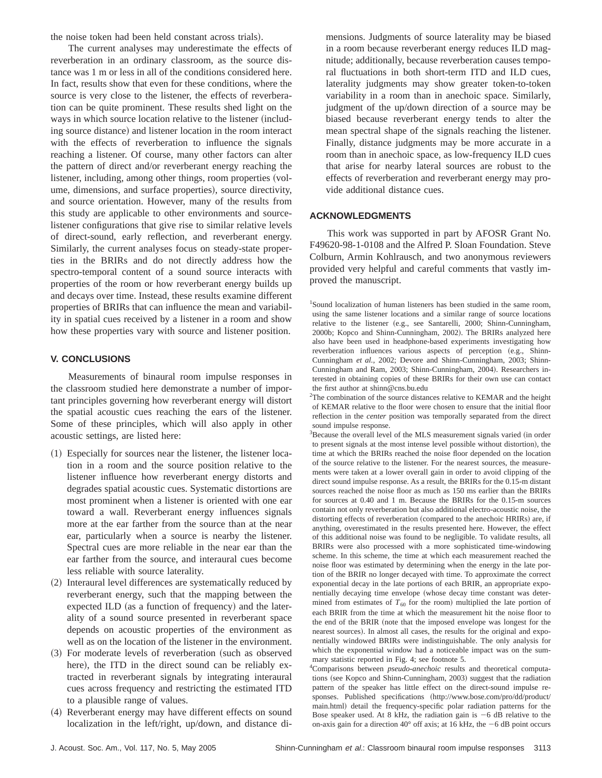the noise token had been held constant across trials).

The current analyses may underestimate the effects of reverberation in an ordinary classroom, as the source distance was 1 m or less in all of the conditions considered here. In fact, results show that even for these conditions, where the source is very close to the listener, the effects of reverberation can be quite prominent. These results shed light on the ways in which source location relative to the listener (including source distance) and listener location in the room interact with the effects of reverberation to influence the signals reaching a listener. Of course, many other factors can alter the pattern of direct and/or reverberant energy reaching the listener, including, among other things, room properties (volume, dimensions, and surface properties), source directivity, and source orientation. However, many of the results from this study are applicable to other environments and sourcelistener configurations that give rise to similar relative levels of direct-sound, early reflection, and reverberant energy. Similarly, the current analyses focus on steady-state properties in the BRIRs and do not directly address how the spectro-temporal content of a sound source interacts with properties of the room or how reverberant energy builds up and decays over time. Instead, these results examine different properties of BRIRs that can influence the mean and variability in spatial cues received by a listener in a room and show how these properties vary with source and listener position.

## **V. CONCLUSIONS**

Measurements of binaural room impulse responses in the classroom studied here demonstrate a number of important principles governing how reverberant energy will distort the spatial acoustic cues reaching the ears of the listener. Some of these principles, which will also apply in other acoustic settings, are listed here:

- $(1)$  Especially for sources near the listener, the listener location in a room and the source position relative to the listener influence how reverberant energy distorts and degrades spatial acoustic cues. Systematic distortions are most prominent when a listener is oriented with one ear toward a wall. Reverberant energy influences signals more at the ear farther from the source than at the near ear, particularly when a source is nearby the listener. Spectral cues are more reliable in the near ear than the ear farther from the source, and interaural cues become less reliable with source laterality.
- (2) Interaural level differences are systematically reduced by reverberant energy, such that the mapping between the expected ILD (as a function of frequency) and the laterality of a sound source presented in reverberant space depends on acoustic properties of the environment as well as on the location of the listener in the environment.
- (3) For moderate levels of reverberation (such as observed here), the ITD in the direct sound can be reliably extracted in reverberant signals by integrating interaural cues across frequency and restricting the estimated ITD to a plausible range of values.
- (4) Reverberant energy may have different effects on sound localization in the left/right, up/down, and distance di-

mensions. Judgments of source laterality may be biased in a room because reverberant energy reduces ILD magnitude; additionally, because reverberation causes temporal fluctuations in both short-term ITD and ILD cues, laterality judgments may show greater token-to-token variability in a room than in anechoic space. Similarly, judgment of the up/down direction of a source may be biased because reverberant energy tends to alter the mean spectral shape of the signals reaching the listener. Finally, distance judgments may be more accurate in a room than in anechoic space, as low-frequency ILD cues that arise for nearby lateral sources are robust to the effects of reverberation and reverberant energy may provide additional distance cues.

## **ACKNOWLEDGMENTS**

This work was supported in part by AFOSR Grant No. F49620-98-1-0108 and the Alfred P. Sloan Foundation. Steve Colburn, Armin Kohlrausch, and two anonymous reviewers provided very helpful and careful comments that vastly improved the manuscript.

<sup>1</sup>Sound localization of human listeners has been studied in the same room, using the same listener locations and a similar range of source locations relative to the listener (e.g., see Santarelli, 2000; Shinn-Cunningham, 2000b; Kopco and Shinn-Cunningham, 2002). The BRIRs analyzed here also have been used in headphone-based experiments investigating how reverberation influences various aspects of perception (e.g., Shinn-Cunningham *et al.*, 2002; Devore and Shinn-Cunningham, 2003; Shinn-Cunningham and Ram, 2003; Shinn-Cunningham, 2004). Researchers interested in obtaining copies of these BRIRs for their own use can contact the first author at shinn@cns.bu.edu

 $2$ The combination of the source distances relative to KEMAR and the height of KEMAR relative to the floor were chosen to ensure that the initial floor reflection in the *center* position was temporally separated from the direct sound impulse response.

 $3$ Because the overall level of the MLS measurement signals varied (in order to present signals at the most intense level possible without distortion), the time at which the BRIRs reached the noise floor depended on the location of the source relative to the listener. For the nearest sources, the measurements were taken at a lower overall gain in order to avoid clipping of the direct sound impulse response. As a result, the BRIRs for the 0.15-m distant sources reached the noise floor as much as 150 ms earlier than the BRIRs for sources at 0.40 and 1 m. Because the BRIRs for the 0.15-m sources contain not only reverberation but also additional electro-acoustic noise, the distorting effects of reverberation (compared to the anechoic HRIRs) are, if anything, overestimated in the results presented here. However, the effect of this additional noise was found to be negligible. To validate results, all BRIRs were also processed with a more sophisticated time-windowing scheme. In this scheme, the time at which each measurement reached the noise floor was estimated by determining when the energy in the late portion of the BRIR no longer decayed with time. To approximate the correct exponential decay in the late portions of each BRIR, an appropriate exponentially decaying time envelope (whose decay time constant was determined from estimates of  $T_{60}$  for the room) multiplied the late portion of each BRIR from the time at which the measurement hit the noise floor to the end of the BRIR (note that the imposed envelope was longest for the nearest sources). In almost all cases, the results for the original and exponentially windowed BRIRs were indistinguishable. The only analysis for which the exponential window had a noticeable impact was on the summary statistic reported in Fig. 4; see footnote 5.

4 Comparisons between *pseudo-anechoic* results and theoretical computations (see Kopco and Shinn-Cunningham, 2003) suggest that the radiation pattern of the speaker has little effect on the direct-sound impulse responses. Published specifications (http://www.bose.com/pro/dd/product/ main.html) detail the frequency-specific polar radiation patterns for the Bose speaker used. At 8 kHz, the radiation gain is  $-6$  dB relative to the on-axis gain for a direction  $40^{\circ}$  off axis; at 16 kHz, the  $-6$  dB point occurs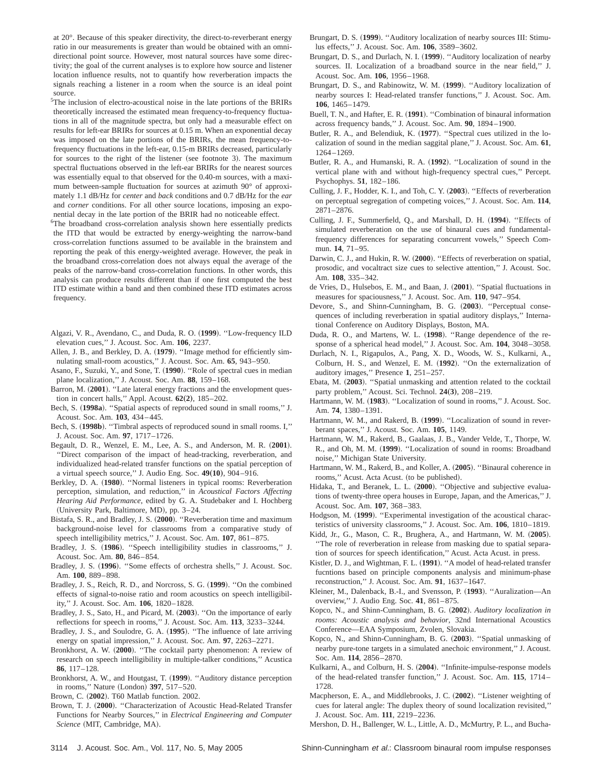at 20°. Because of this speaker directivity, the direct-to-reverberant energy ratio in our measurements is greater than would be obtained with an omnidirectional point source. However, most natural sources have some directivity; the goal of the current analyses is to explore how source and listener location influence results, not to quantify how reverberation impacts the signals reaching a listener in a room when the source is an ideal point source.

<sup>5</sup>The inclusion of electro-acoustical noise in the late portions of the BRIRs theoretically increased the estimated mean frequency-to-frequency fluctuations in all of the magnitude spectra, but only had a measurable effect on results for left-ear BRIRs for sources at 0.15 m. When an exponential decay was imposed on the late portions of the BRIRs, the mean frequency-tofrequency fluctuations in the left-ear, 0.15-m BRIRs decreased, particularly for sources to the right of the listener (see footnote 3). The maximum spectral fluctuations observed in the left-ear BRIRs for the nearest sources was essentially equal to that observed for the 0.40-m sources, with a maximum between-sample fluctuation for sources at azimuth 90° of approximately 1.1 dB/Hz for *center* and *back* conditions and 0.7 dB/Hz for the *ear* and *corner* conditions. For all other source locations, imposing an exponential decay in the late portion of the BRIR had no noticeable effect.

6 The broadband cross-correlation analysis shown here essentially predicts the ITD that would be extracted by energy-weighting the narrow-band cross-correlation functions assumed to be available in the brainstem and reporting the peak of this energy-weighted average. However, the peak in the broadband cross-correlation does not always equal the average of the peaks of the narrow-band cross-correlation functions. In other words, this analysis can produce results different than if one first computed the best ITD estimate within a band and then combined these ITD estimates across frequency.

- Algazi, V. R., Avendano, C., and Duda, R. O. ~**1999**!. ''Low-frequency ILD elevation cues,'' J. Acoust. Soc. Am. **106**, 2237.
- Allen, J. B., and Berkley, D. A. (1979). "Image method for efficiently simnulating small-room acoustics,'' J. Acoust. Soc. Am. **65**, 943–950.
- Asano, F., Suzuki, Y., and Sone, T. (1990). "Role of spectral cues in median plane localization,'' J. Acoust. Soc. Am. **88**, 159–168.
- Barron, M. (2001). "Late lateral energy fractions and the envelopment question in concert halls," Appl. Acoust. **62(2)**, 185–202.
- Bech, S. (1998a). "Spatial aspects of reproduced sound in small rooms," J. Acoust. Soc. Am. **103**, 434–445.
- Bech, S. (1998b). "Timbral aspects of reproduced sound in small rooms. I," J. Acoust. Soc. Am. **97**, 1717–1726.
- Begault, D. R., Wenzel, E. M., Lee, A. S., and Anderson, M. R. ~**2001**!. ''Direct comparison of the impact of head-tracking, reverberation, and individualized head-related transfer functions on the spatial perception of a virtual speech source,'' J. Audio Eng. Soc. **49**"**10**…, 904–916.
- Berkley, D. A. (1980). "Normal listeners in typical rooms: Reverberation perception, simulation, and reduction,'' in *Acoustical Factors Affecting Hearing Aid Performance*, edited by G. A. Studebaker and I. Hochberg (University Park, Baltimore, MD), pp. 3-24.
- Bistafa, S. R., and Bradley, J. S. (2000). "Reverberation time and maximum background-noise level for classrooms from a comparative study of speech intelligibility metrics,'' J. Acoust. Soc. Am. **107**, 861–875.
- Bradley, J. S. (1986). "Speech intelligibility studies in classrooms," J. Acoust. Soc. Am. **80**, 846–854.
- Bradley, J. S. (1996). "Some effects of orchestra shells," J. Acoust. Soc. Am. **100**, 889–898.
- Bradley, J. S., Reich, R. D., and Norcross, S. G. ~**1999**!. ''On the combined effects of signal-to-noise ratio and room acoustics on speech intelligibility,'' J. Acoust. Soc. Am. **106**, 1820–1828.
- Bradley, J. S., Sato, H., and Picard, M. (2003). "On the importance of early reflections for speech in rooms,'' J. Acoust. Soc. Am. **113**, 3233–3244.
- Bradley, J. S., and Soulodre, G. A. (1995). "The influence of late arriving energy on spatial impression,'' J. Acoust. Soc. Am. **97**, 2263–2271.
- Bronkhorst, A. W. (2000). "The cocktail party phenomenon: A review of research on speech intelligibility in multiple-talker conditions,'' Acustica **86**, 117–128.
- Bronkhorst, A. W., and Houtgast, T. (1999). "Auditory distance perception in rooms," Nature (London) 397, 517–520.
- Brown, C. (2002). T60 Matlab function. 2002.
- Brown, T. J. (2000). "Characterization of Acoustic Head-Related Transfer Functions for Nearby Sources,'' in *Electrical Engineering and Computer*  $Science$  (MIT, Cambridge, MA).
- Brungart, D. S. (1999). "Auditory localization of nearby sources III: Stimulus effects,'' J. Acoust. Soc. Am. **106**, 3589–3602.
- Brungart, D. S., and Durlach, N. I. (1999). "Auditory localization of nearby sources. II. Localization of a broadband source in the near field,'' J. Acoust. Soc. Am. **106**, 1956–1968.
- Brungart, D. S., and Rabinowitz, W. M. (1999). "Auditory localization of nearby sources I: Head-related transfer functions,'' J. Acoust. Soc. Am. **106**, 1465–1479.
- Buell, T. N., and Hafter, E. R. (1991). "Combination of binaural information across frequency bands,'' J. Acoust. Soc. Am. **90**, 1894–1900.
- Butler, R. A., and Belendiuk, K. (1977). "Spectral cues utilized in the localization of sound in the median saggital plane,'' J. Acoust. Soc. Am. **61**, 1264–1269.
- Butler, R. A., and Humanski, R. A. (1992). "Localization of sound in the vertical plane with and without high-frequency spectral cues,'' Percept. Psychophys. **51**, 182–186.
- Culling, J. F., Hodder, K. I., and Toh, C. Y. ~**2003**!. ''Effects of reverberation on perceptual segregation of competing voices,'' J. Acoust. Soc. Am. **114**, 2871–2876.
- Culling, J. F., Summerfield, Q., and Marshall, D. H. ~**1994**!. ''Effects of simulated reverberation on the use of binaural cues and fundamentalfrequency differences for separating concurrent vowels,'' Speech Commun. **14**, 71–95.
- Darwin, C. J., and Hukin, R. W. (2000). "Effects of reverberation on spatial, prosodic, and vocaltract size cues to selective attention,'' J. Acoust. Soc. Am. **108**, 335–342.
- de Vries, D., Hulsebos, E. M., and Baan, J. (2001). "Spatial fluctuations in measures for spaciousness,'' J. Acoust. Soc. Am. **110**, 947–954.
- Devore, S., and Shinn-Cunningham, B. G.  $(2003)$ . "Perceptual consequences of including reverberation in spatial auditory displays,'' International Conference on Auditory Displays, Boston, MA.
- Duda, R. O., and Martens, W. L.  $(1998)$ . "Range dependence of the response of a spherical head model,'' J. Acoust. Soc. Am. **104**, 3048–3058.
- Durlach, N. I., Rigapulos, A., Pang, X. D., Woods, W. S., Kulkarni, A., Colburn, H. S., and Wenzel, E. M. ~**1992**!. ''On the externalization of auditory images,'' Presence **1**, 251–257.
- Ebata, M. (2003). "Spatial unmasking and attention related to the cocktail party problem,'' Acoust. Sci. Technol. **24**"**3**…, 208–219.
- Hartmann, W. M. (1983). "Localization of sound in rooms," J. Acoust. Soc. Am. **74**, 1380–1391.
- Hartmann, W. M., and Rakerd, B. (1999). "Localization of sound in reverberant spaces,'' J. Acoust. Soc. Am. **105**, 1149.
- Hartmann, W. M., Rakerd, B., Gaalaas, J. B., Vander Velde, T., Thorpe, W. R., and Oh, M. M. (1999). "Localization of sound in rooms: Broadband noise,'' Michigan State University.
- Hartmann, W. M., Rakerd, B., and Koller, A. (2005). "Binaural coherence in rooms," Acust. Acta Acust. (to be published).
- Hidaka, T., and Beranek, L. L. (2000). "Objective and subjective evaluations of twenty-three opera houses in Europe, Japan, and the Americas,'' J. Acoust. Soc. Am. **107**, 368–383.
- Hodgson, M. (1999). "Experimental investigation of the acoustical characteristics of university classrooms,'' J. Acoust. Soc. Am. **106**, 1810–1819.
- Kidd, Jr., G., Mason, C. R., Brughera, A., and Hartmann, W. M. (2005). ''The role of reverberation in release from masking due to spatial separation of sources for speech identification,'' Acust. Acta Acust. in press.
- Kistler, D. J., and Wightman, F. L. (1991). "A model of head-related transfer fucntions based on principle components analysis and minimum-phase reconstruction,'' J. Acoust. Soc. Am. **91**, 1637–1647.
- Kleiner, M., Dalenback, B.-I., and Svensson, P. (1993). "Auralization—An overview,'' J. Audio Eng. Soc. **41**, 861–875.
- Kopco, N., and Shinn-Cunningham, B. G. ~**2002**!. *Auditory localization in rooms: Acoustic analysis and behavior*, 32nd International Acoustics Conference—EAA Symposium, Zvolen, Slovakia.
- Kopco, N., and Shinn-Cunningham, B. G. (2003). "Spatial unmasking of nearby pure-tone targets in a simulated anechoic environment,'' J. Acoust. Soc. Am. **114**, 2856–2870.
- Kulkarni, A., and Colburn, H. S.  $(2004)$ . "Infinite-impulse-response models of the head-related transfer function,'' J. Acoust. Soc. Am. **115**, 1714– 1728.
- Macpherson, E. A., and Middlebrooks, J. C. (2002). "Listener weighting of cues for lateral angle: The duplex theory of sound localization revisited,'' J. Acoust. Soc. Am. **111**, 2219–2236.
- Mershon, D. H., Ballenger, W. L., Little, A. D., McMurtry, P. L., and Bucha-